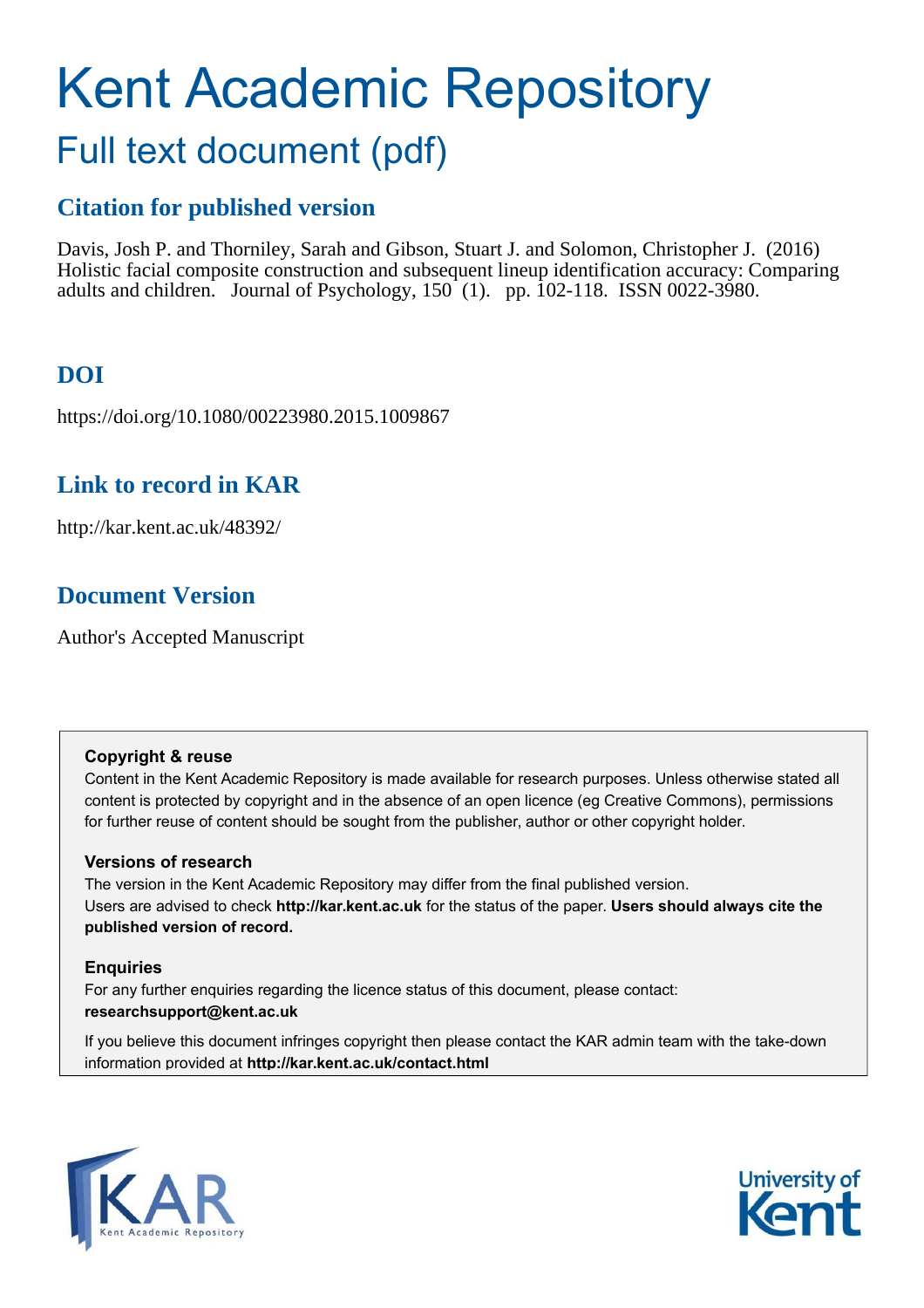# Kent Academic Repository Full text document (pdf)

### **Citation for published version**

Davis, Josh P. and Thorniley, Sarah and Gibson, Stuart J. and Solomon, Christopher J. (2016) Holistic facial composite construction and subsequent lineup identification accuracy: Comparing adults and children. Journal of Psychology, 150 (1). pp. 102-118. ISSN 0022-3980.

# **DOI**

https://doi.org/10.1080/00223980.2015.1009867

### **Link to record in KAR**

http://kar.kent.ac.uk/48392/

### **Document Version**

Author's Accepted Manuscript

### **Copyright & reuse**

Content in the Kent Academic Repository is made available for research purposes. Unless otherwise stated all content is protected by copyright and in the absence of an open licence (eg Creative Commons), permissions for further reuse of content should be sought from the publisher, author or other copyright holder.

### **Versions of research**

The version in the Kent Academic Repository may differ from the final published version. Users are advised to check **http://kar.kent.ac.uk** for the status of the paper. **Users should always cite the published version of record.**

### **Enquiries**

For any further enquiries regarding the licence status of this document, please contact: **researchsupport@kent.ac.uk**

If you believe this document infringes copyright then please contact the KAR admin team with the take-down information provided at **http://kar.kent.ac.uk/contact.html**



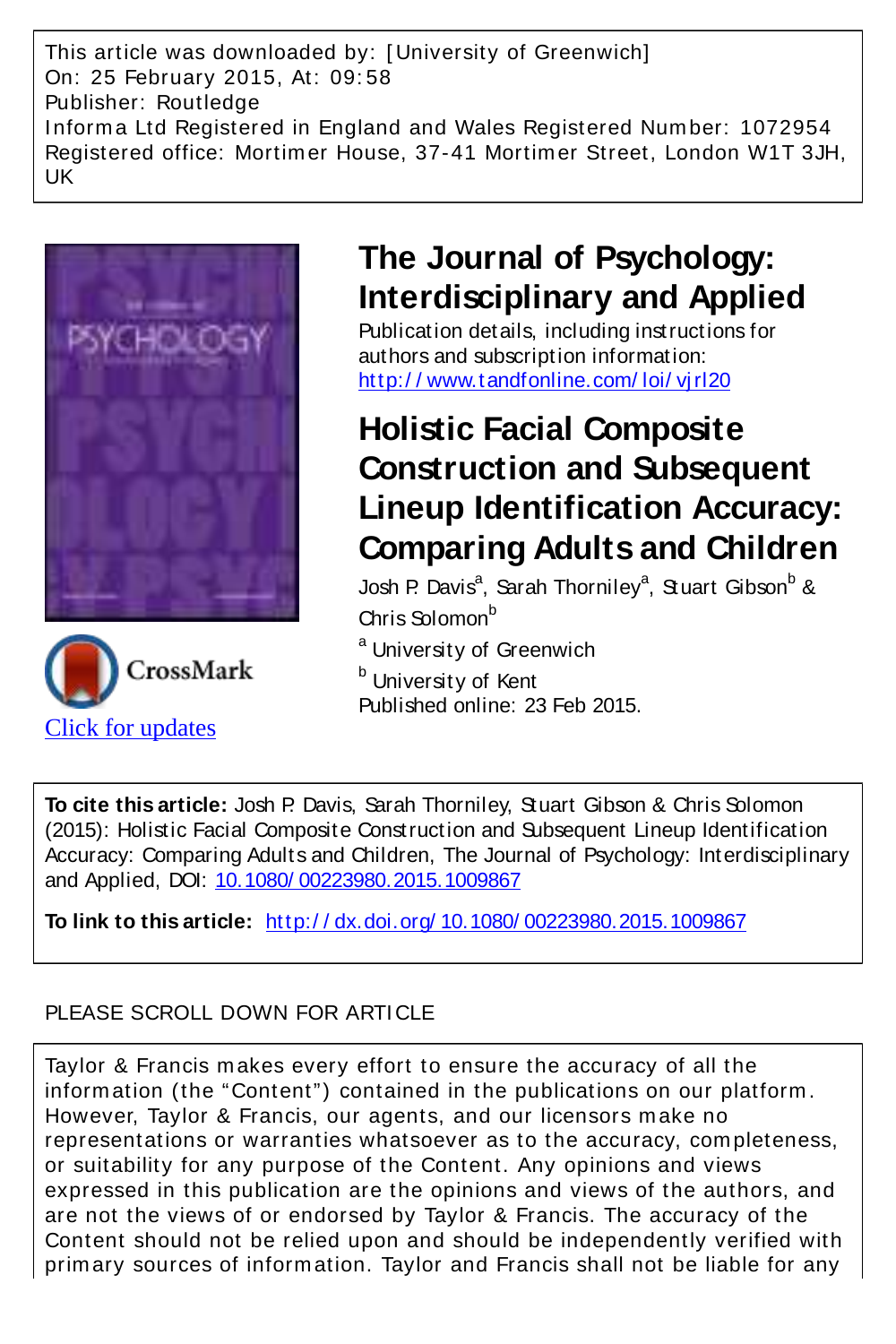This article was downloaded by: [ University of Greenwich] On: 25 February 2015, At: 09: 58 Publisher: Routledge I nform a Ltd Registered in England and Wales Registered Num ber: 1072954 Registered office: Mortim er House, 37-41 Mortim er Street, London W1T 3JH, UK





# **The Journal of Psychology: Interdisciplinary and Applied**

Publication details, including instructions for authors and subscription information: http://www.tandfonline.com/loi/virl20

# **Holistic Facial Composite Construction and Subsequent Lineup Identification Accuracy: Comparing Adults and Children**

Josh P. Davis<sup>a</sup>, Sarah Thorniley<sup>a</sup>, Stuart Gibson<sup>b</sup> & Chris Solomon<sup>b</sup>

<sup>a</sup> University of Greenwich

<sup>b</sup> University of Kent Published online: 23 Feb 2015.

**To cite this article:** Josh P. Davis, Sarah Thorniley, Stuart Gibson & Chris Solomon (2015): Holistic Facial Composite Construction and Subsequent Lineup Identification Accuracy: Comparing Adults and Children, The Journal of Psychology: Interdisciplinary and Applied, DOI: [10.1080/ 00223980.2015.1009867](http://www.tandfonline.com/action/showCitFormats?doi=10.1080/00223980.2015.1009867)

**To link to this article:** [http:/ / dx.doi.org/ 10.1080/ 00223980.2015.1009867](http://dx.doi.org/10.1080/00223980.2015.1009867)

### PLEASE SCROLL DOWN FOR ARTICLE

Taylor & Francis m akes every effort to ensure the accuracy of all the inform ation (the "Content") contained in the publications on our platform . However, Taylor & Francis, our agents, and our licensors m ake no representations or warranties whatsoever as to the accuracy, completeness, or suitability for any purpose of the Content. Any opinions and views expressed in this publication are the opinions and views of the authors, and are not the views of or endorsed by Taylor & Francis. The accuracy of the Content should not be relied upon and should be independently verified with prim ary sources of inform ation. Taylor and Francis shall not be liable for any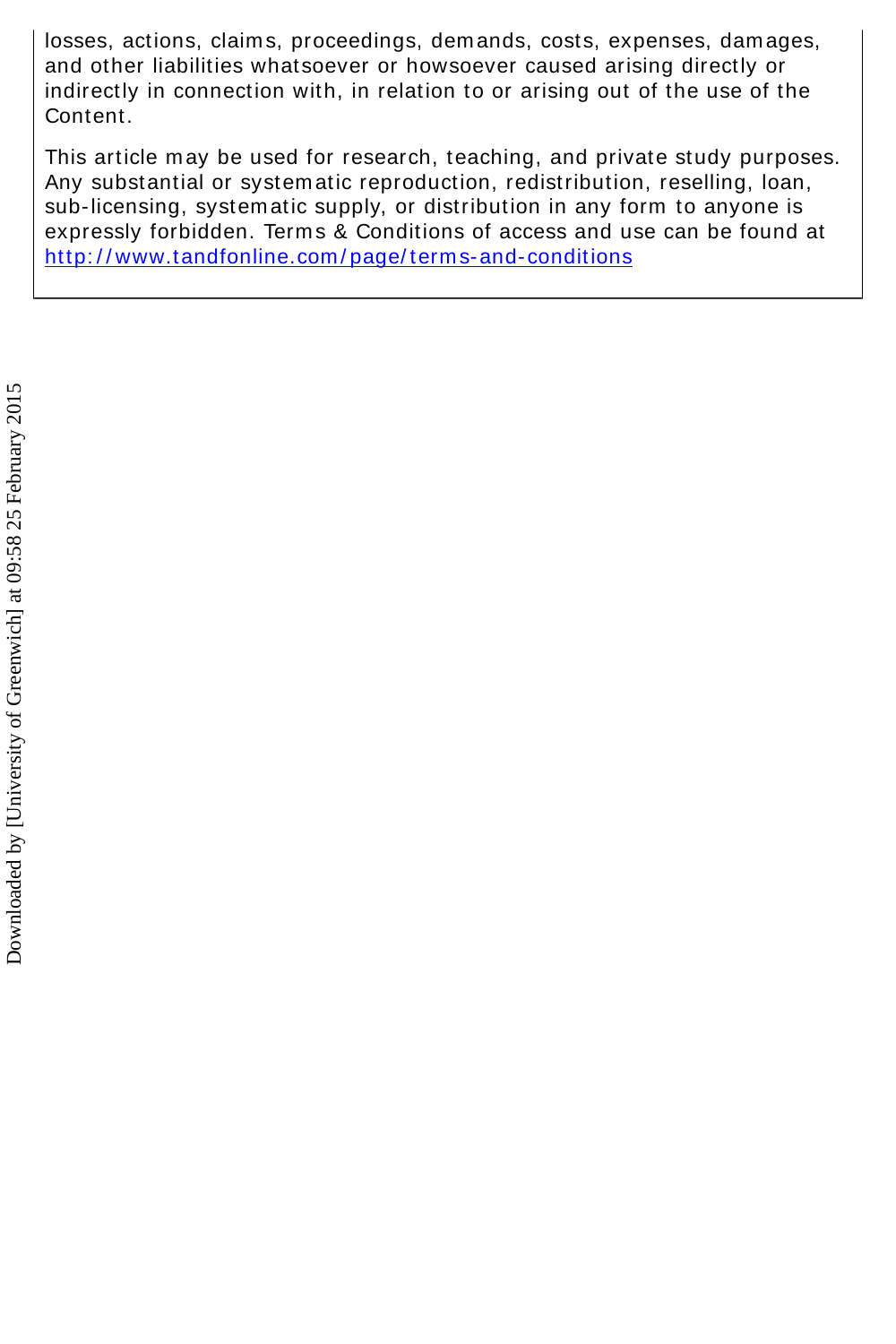losses, actions, claims, proceedings, demands, costs, expenses, damages, and other liabilities whatsoever or howsoever caused arising directly or indirectly in connection with, in relation to or arising out of the use of the Content.

This article m ay be used for research, teaching, and private study purposes. Any substantial or system atic reproduction, redistribution, reselling, loan, sub-licensing, system atic supply, or distribution in any form to anyone is expressly forbidden. Term s & Conditions of access and use can be found at http://www.tandfonline.com/page/terms-and-conditions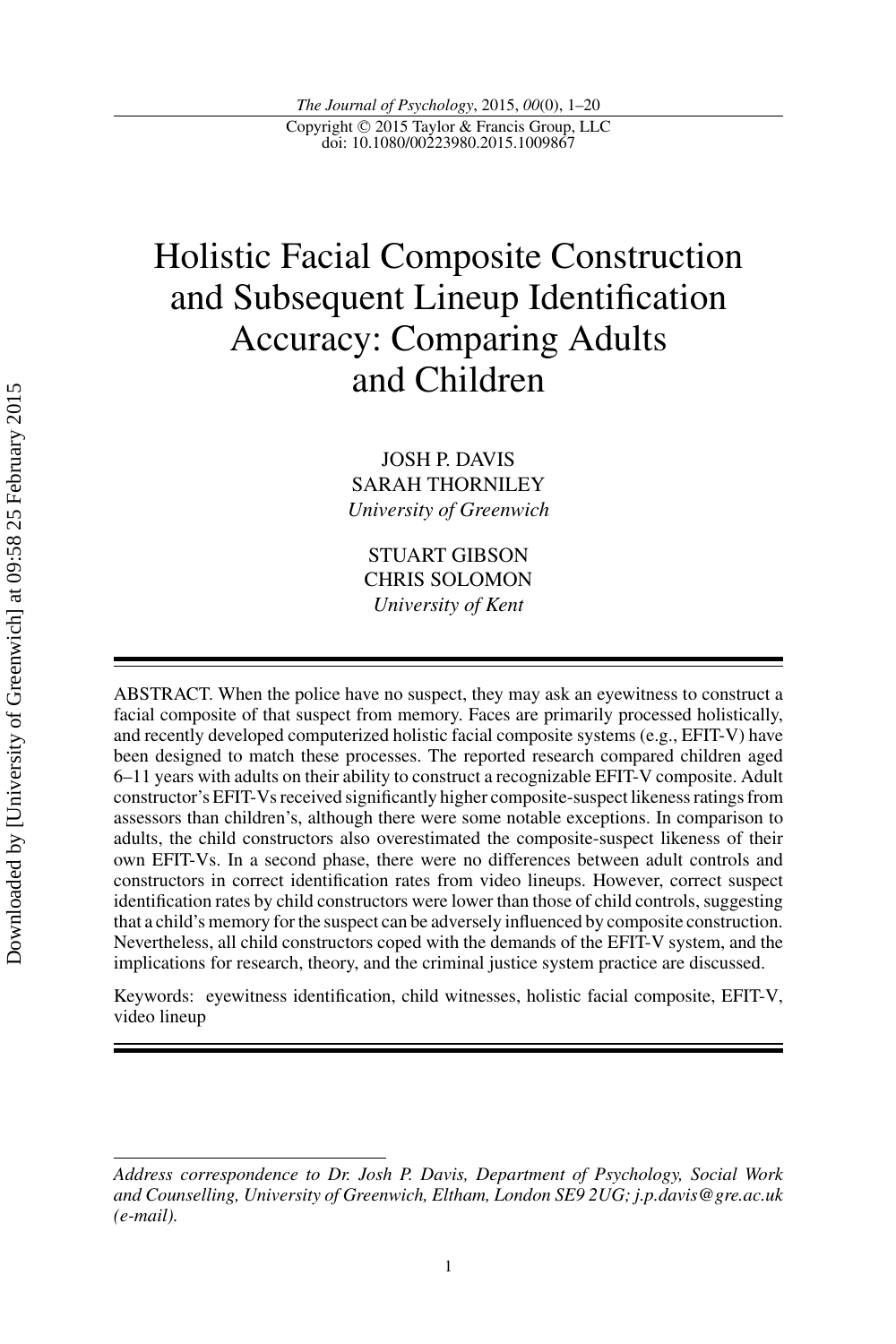*The Journal of Psychology*, 2015, *00*(0), 1–20 Copyright © 2015 Taylor & Francis Group, LLC<br>doi: 10.1080/00223980.2015.1009867

# Holistic Facial Composite Construction and Subsequent Lineup Identification Accuracy: Comparing Adults and Children

JOSH P. DAVIS SARAH THORNILEY *University of Greenwich*

STUART GIBSON CHRIS SOLOMON *University of Kent*

ABSTRACT. When the police have no suspect, they may ask an eyewitness to construct a facial composite of that suspect from memory. Faces are primarily processed holistically, and recently developed computerized holistic facial composite systems (e.g., EFIT-V) have been designed to match these processes. The reported research compared children aged 6–11 years with adults on their ability to construct a recognizable EFIT-V composite. Adult constructor's EFIT-Vs received significantly higher composite-suspect likeness ratings from assessors than children's, although there were some notable exceptions. In comparison to adults, the child constructors also overestimated the composite-suspect likeness of their own EFIT-Vs. In a second phase, there were no differences between adult controls and constructors in correct identification rates from video lineups. However, correct suspect identification rates by child constructors were lower than those of child controls, suggesting that a child's memory for the suspect can be adversely influenced by composite construction. Nevertheless, all child constructors coped with the demands of the EFIT-V system, and the implications for research, theory, and the criminal justice system practice are discussed.

Keywords: eyewitness identification, child witnesses, holistic facial composite, EFIT-V, video lineup

*Address correspondence to Dr. Josh P. Davis, Department of Psychology, Social Work and Counselling, University of Greenwich, Eltham, London SE9 2UG; j.p.davis@gre.ac.uk (e-mail).*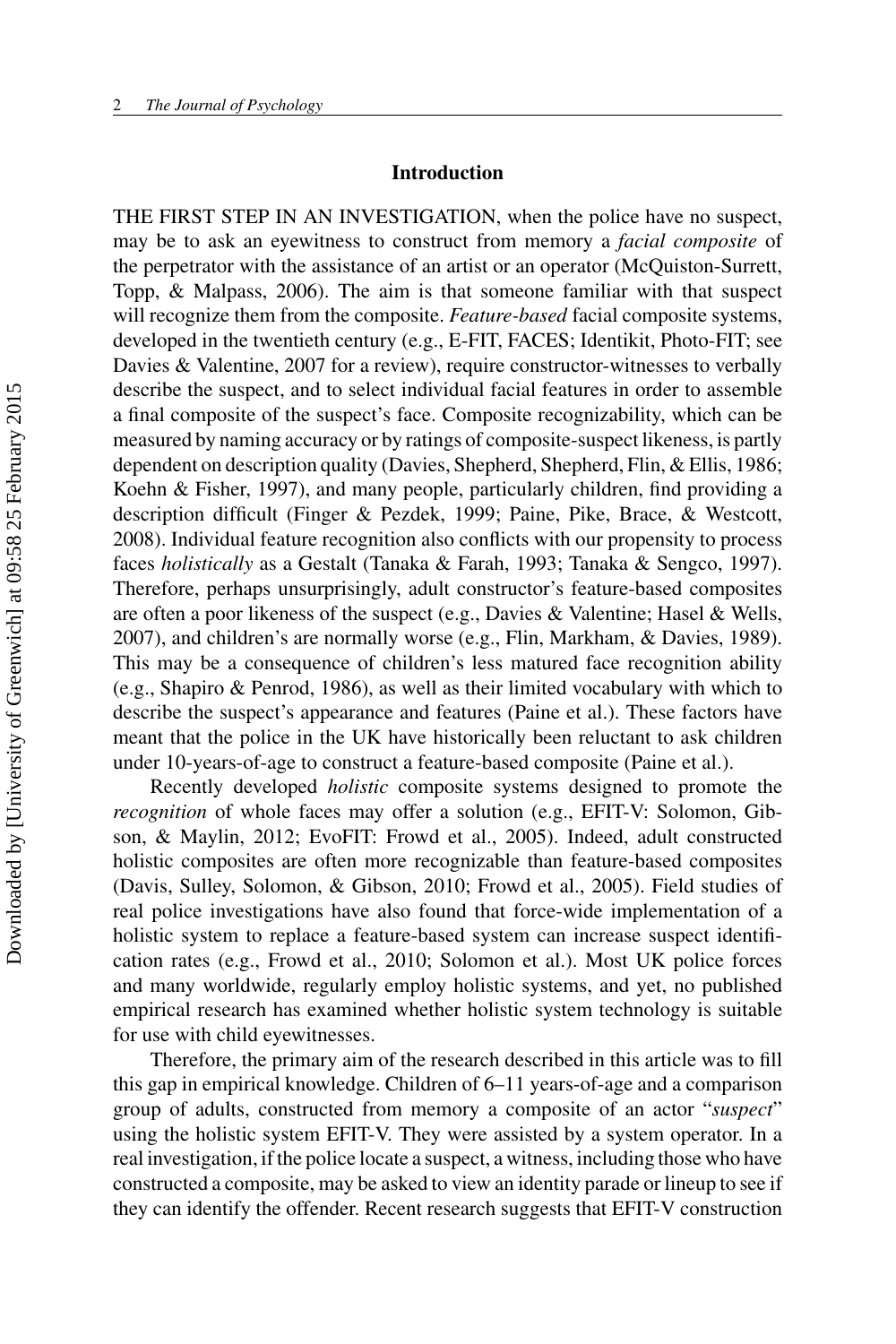#### **Introduction**

THE FIRST STEP IN AN INVESTIGATION, when the police have no suspect, may be to ask an eyewitness to construct from memory a *facial composite* of the perpetrator with the assistance of an artist or an operator (McQuiston-Surrett, Topp, & Malpass, 2006). The aim is that someone familiar with that suspect will recognize them from the composite. *Feature-based* facial composite systems, developed in the twentieth century (e.g., E-FIT, FACES; Identikit, Photo-FIT; see Davies & Valentine, 2007 for a review), require constructor-witnesses to verbally describe the suspect, and to select individual facial features in order to assemble a final composite of the suspect's face. Composite recognizability, which can be measured by naming accuracy or by ratings of composite-suspect likeness, is partly dependent on description quality (Davies, Shepherd, Shepherd, Flin, & Ellis, 1986; Koehn & Fisher, 1997), and many people, particularly children, find providing a description difficult (Finger & Pezdek, 1999; Paine, Pike, Brace, & Westcott, 2008). Individual feature recognition also conflicts with our propensity to process faces *holistically* as a Gestalt (Tanaka & Farah, 1993; Tanaka & Sengco, 1997). Therefore, perhaps unsurprisingly, adult constructor's feature-based composites are often a poor likeness of the suspect (e.g., Davies & Valentine; Hasel & Wells, 2007), and children's are normally worse (e.g., Flin, Markham, & Davies, 1989). This may be a consequence of children's less matured face recognition ability (e.g., Shapiro & Penrod, 1986), as well as their limited vocabulary with which to describe the suspect's appearance and features (Paine et al.). These factors have meant that the police in the UK have historically been reluctant to ask children under 10-years-of-age to construct a feature-based composite (Paine et al.).

Recently developed *holistic* composite systems designed to promote the *recognition* of whole faces may offer a solution (e.g., EFIT-V: Solomon, Gibson, & Maylin, 2012; EvoFIT: Frowd et al., 2005). Indeed, adult constructed holistic composites are often more recognizable than feature-based composites (Davis, Sulley, Solomon, & Gibson, 2010; Frowd et al., 2005). Field studies of real police investigations have also found that force-wide implementation of a holistic system to replace a feature-based system can increase suspect identification rates (e.g., Frowd et al., 2010; Solomon et al.). Most UK police forces and many worldwide, regularly employ holistic systems, and yet, no published empirical research has examined whether holistic system technology is suitable for use with child eyewitnesses.

Therefore, the primary aim of the research described in this article was to fill this gap in empirical knowledge. Children of 6–11 years-of-age and a comparison group of adults, constructed from memory a composite of an actor "*suspect*" using the holistic system EFIT-V. They were assisted by a system operator. In a real investigation, if the police locate a suspect, a witness, including those who have constructed a composite, may be asked to view an identity parade or lineup to see if they can identify the offender. Recent research suggests that EFIT-V construction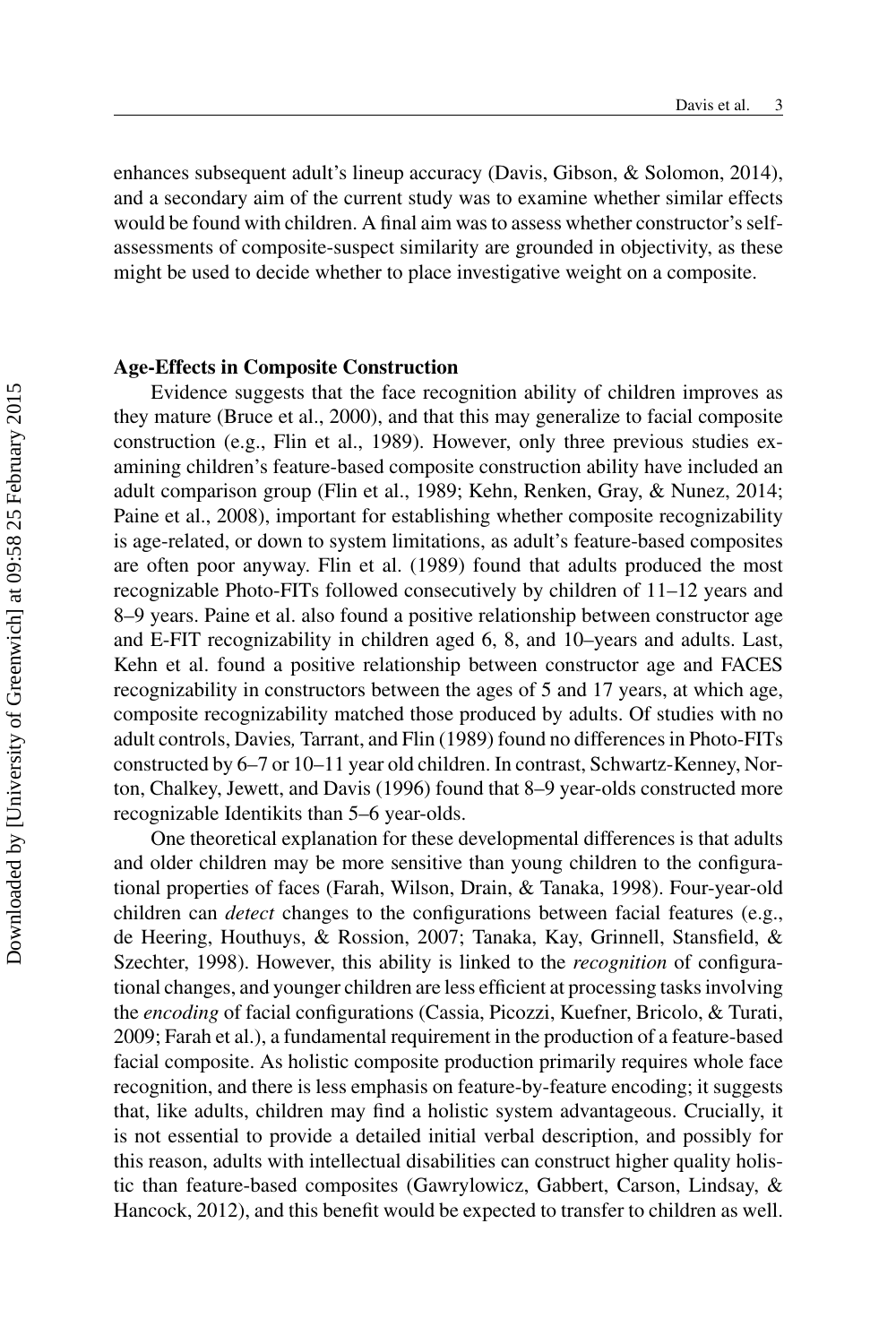enhances subsequent adult's lineup accuracy (Davis, Gibson, & Solomon, 2014), and a secondary aim of the current study was to examine whether similar effects would be found with children. A final aim was to assess whether constructor's selfassessments of composite-suspect similarity are grounded in objectivity, as these might be used to decide whether to place investigative weight on a composite.

#### **Age-Effects in Composite Construction**

Evidence suggests that the face recognition ability of children improves as they mature (Bruce et al., 2000), and that this may generalize to facial composite construction (e.g., Flin et al., 1989). However, only three previous studies examining children's feature-based composite construction ability have included an adult comparison group (Flin et al., 1989; Kehn, Renken, Gray, & Nunez, 2014; Paine et al., 2008), important for establishing whether composite recognizability is age-related, or down to system limitations, as adult's feature-based composites are often poor anyway. Flin et al. (1989) found that adults produced the most recognizable Photo-FITs followed consecutively by children of 11–12 years and 8–9 years. Paine et al. also found a positive relationship between constructor age and E-FIT recognizability in children aged 6, 8, and 10–years and adults. Last, Kehn et al. found a positive relationship between constructor age and FACES recognizability in constructors between the ages of 5 and 17 years, at which age, composite recognizability matched those produced by adults. Of studies with no adult controls, Davies*,* Tarrant, and Flin (1989) found no differences in Photo-FITs constructed by 6–7 or 10–11 year old children. In contrast, Schwartz-Kenney, Norton, Chalkey, Jewett, and Davis (1996) found that 8–9 year-olds constructed more recognizable Identikits than 5–6 year-olds.

One theoretical explanation for these developmental differences is that adults and older children may be more sensitive than young children to the configurational properties of faces (Farah, Wilson, Drain, & Tanaka, 1998). Four-year-old children can *detect* changes to the configurations between facial features (e.g., de Heering, Houthuys, & Rossion, 2007; Tanaka, Kay, Grinnell, Stansfield, & Szechter, 1998). However, this ability is linked to the *recognition* of configurational changes, and younger children are less efficient at processing tasks involving the *encoding* of facial configurations (Cassia, Picozzi, Kuefner, Bricolo, & Turati, 2009; Farah et al.), a fundamental requirement in the production of a feature-based facial composite. As holistic composite production primarily requires whole face recognition, and there is less emphasis on feature-by-feature encoding; it suggests that, like adults, children may find a holistic system advantageous. Crucially, it is not essential to provide a detailed initial verbal description, and possibly for this reason, adults with intellectual disabilities can construct higher quality holistic than feature-based composites (Gawrylowicz, Gabbert, Carson, Lindsay, & Hancock, 2012), and this benefit would be expected to transfer to children as well.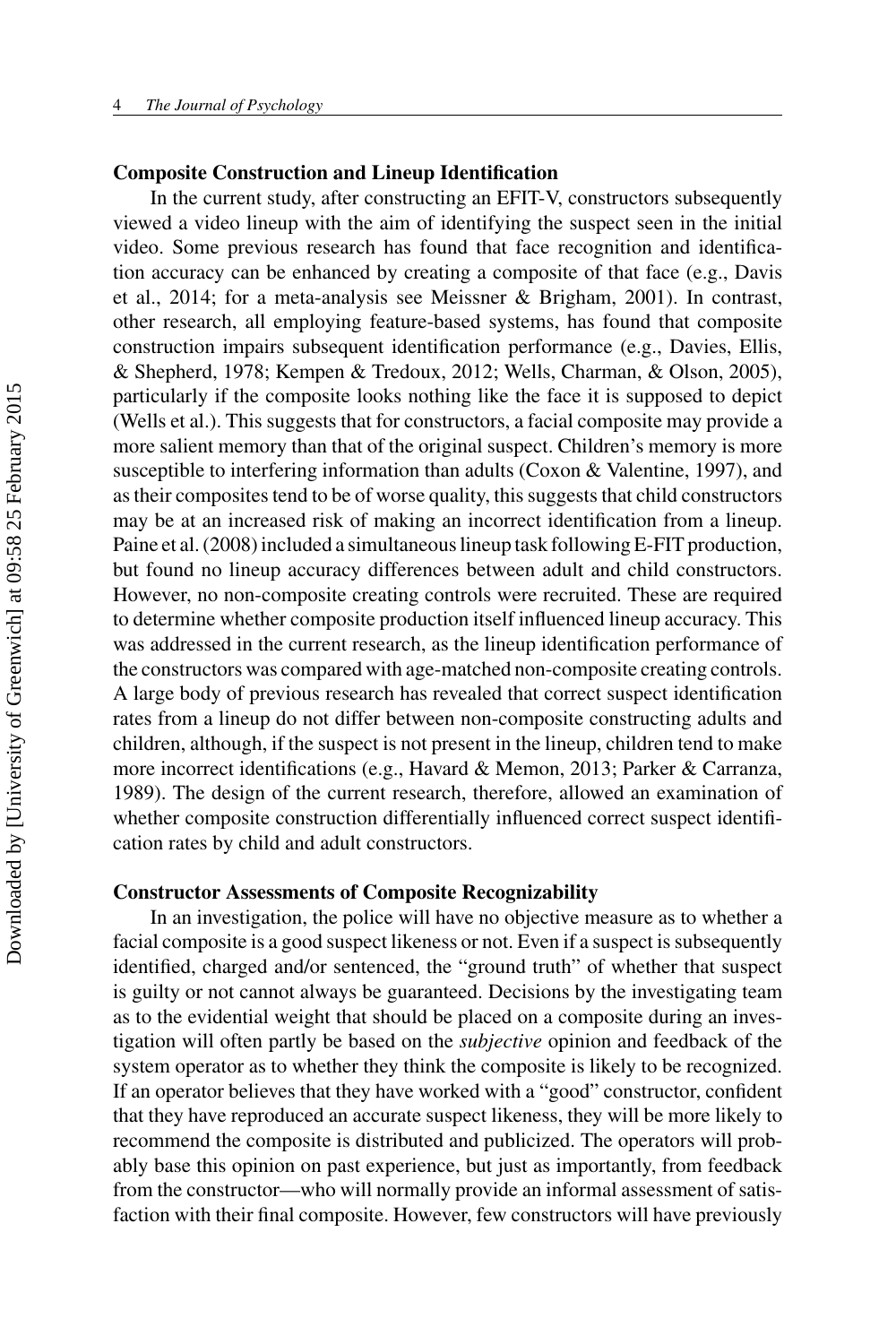#### **Composite Construction and Lineup Identification**

In the current study, after constructing an EFIT-V, constructors subsequently viewed a video lineup with the aim of identifying the suspect seen in the initial video. Some previous research has found that face recognition and identification accuracy can be enhanced by creating a composite of that face (e.g., Davis et al., 2014; for a meta-analysis see Meissner & Brigham, 2001). In contrast, other research, all employing feature-based systems, has found that composite construction impairs subsequent identification performance (e.g., Davies, Ellis, & Shepherd, 1978; Kempen & Tredoux, 2012; Wells, Charman, & Olson, 2005), particularly if the composite looks nothing like the face it is supposed to depict (Wells et al.). This suggests that for constructors, a facial composite may provide a more salient memory than that of the original suspect. Children's memory is more susceptible to interfering information than adults (Coxon & Valentine, 1997), and as their composites tend to be of worse quality, this suggests that child constructors may be at an increased risk of making an incorrect identification from a lineup. Paine et al. (2008) included a simultaneous lineup task following E-FIT production, but found no lineup accuracy differences between adult and child constructors. However, no non-composite creating controls were recruited. These are required to determine whether composite production itself influenced lineup accuracy. This was addressed in the current research, as the lineup identification performance of the constructors was compared with age-matched non-composite creating controls. A large body of previous research has revealed that correct suspect identification rates from a lineup do not differ between non-composite constructing adults and children, although, if the suspect is not present in the lineup, children tend to make more incorrect identifications (e.g., Havard & Memon, 2013; Parker & Carranza, 1989). The design of the current research, therefore, allowed an examination of whether composite construction differentially influenced correct suspect identification rates by child and adult constructors.

#### **Constructor Assessments of Composite Recognizability**

In an investigation, the police will have no objective measure as to whether a facial composite is a good suspect likeness or not. Even if a suspect is subsequently identified, charged and/or sentenced, the "ground truth" of whether that suspect is guilty or not cannot always be guaranteed. Decisions by the investigating team as to the evidential weight that should be placed on a composite during an investigation will often partly be based on the *subjective* opinion and feedback of the system operator as to whether they think the composite is likely to be recognized. If an operator believes that they have worked with a "good" constructor, confident that they have reproduced an accurate suspect likeness, they will be more likely to recommend the composite is distributed and publicized. The operators will probably base this opinion on past experience, but just as importantly, from feedback from the constructor—who will normally provide an informal assessment of satisfaction with their final composite. However, few constructors will have previously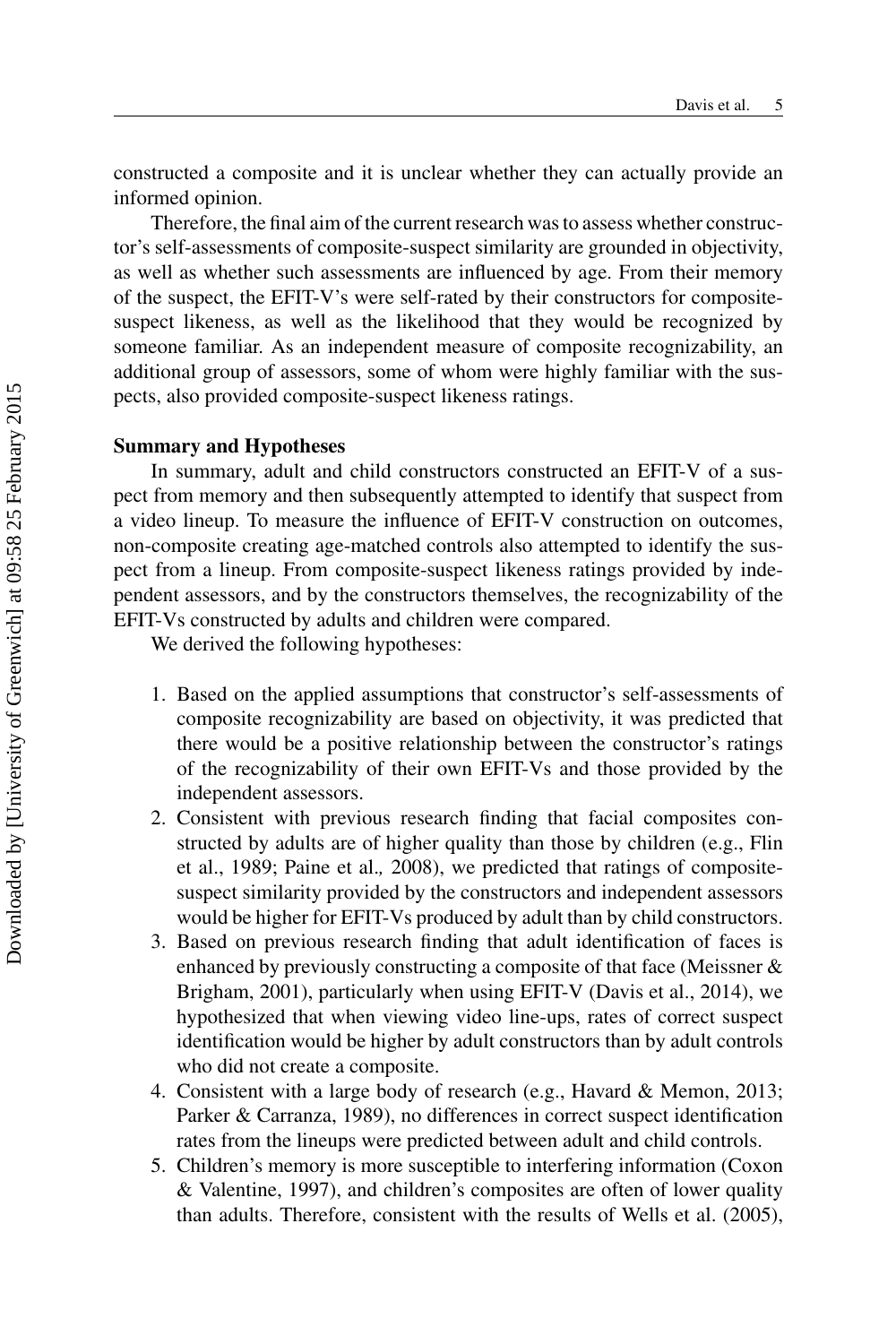constructed a composite and it is unclear whether they can actually provide an informed opinion.

Therefore, the final aim of the current research was to assess whether constructor's self-assessments of composite-suspect similarity are grounded in objectivity, as well as whether such assessments are influenced by age. From their memory of the suspect, the EFIT-V's were self-rated by their constructors for compositesuspect likeness, as well as the likelihood that they would be recognized by someone familiar. As an independent measure of composite recognizability, an additional group of assessors, some of whom were highly familiar with the suspects, also provided composite-suspect likeness ratings.

#### **Summary and Hypotheses**

In summary, adult and child constructors constructed an EFIT-V of a suspect from memory and then subsequently attempted to identify that suspect from a video lineup. To measure the influence of EFIT-V construction on outcomes, non-composite creating age-matched controls also attempted to identify the suspect from a lineup. From composite-suspect likeness ratings provided by independent assessors, and by the constructors themselves, the recognizability of the EFIT-Vs constructed by adults and children were compared.

We derived the following hypotheses:

- 1. Based on the applied assumptions that constructor's self-assessments of composite recognizability are based on objectivity, it was predicted that there would be a positive relationship between the constructor's ratings of the recognizability of their own EFIT-Vs and those provided by the independent assessors.
- 2. Consistent with previous research finding that facial composites constructed by adults are of higher quality than those by children (e.g., Flin et al., 1989; Paine et al.*,* 2008), we predicted that ratings of compositesuspect similarity provided by the constructors and independent assessors would be higher for EFIT-Vs produced by adult than by child constructors.
- 3. Based on previous research finding that adult identification of faces is enhanced by previously constructing a composite of that face (Meissner & Brigham, 2001), particularly when using EFIT-V (Davis et al., 2014), we hypothesized that when viewing video line-ups, rates of correct suspect identification would be higher by adult constructors than by adult controls who did not create a composite.
- 4. Consistent with a large body of research (e.g., Havard & Memon, 2013; Parker & Carranza, 1989), no differences in correct suspect identification rates from the lineups were predicted between adult and child controls.
- 5. Children's memory is more susceptible to interfering information (Coxon & Valentine, 1997), and children's composites are often of lower quality than adults. Therefore, consistent with the results of Wells et al. (2005),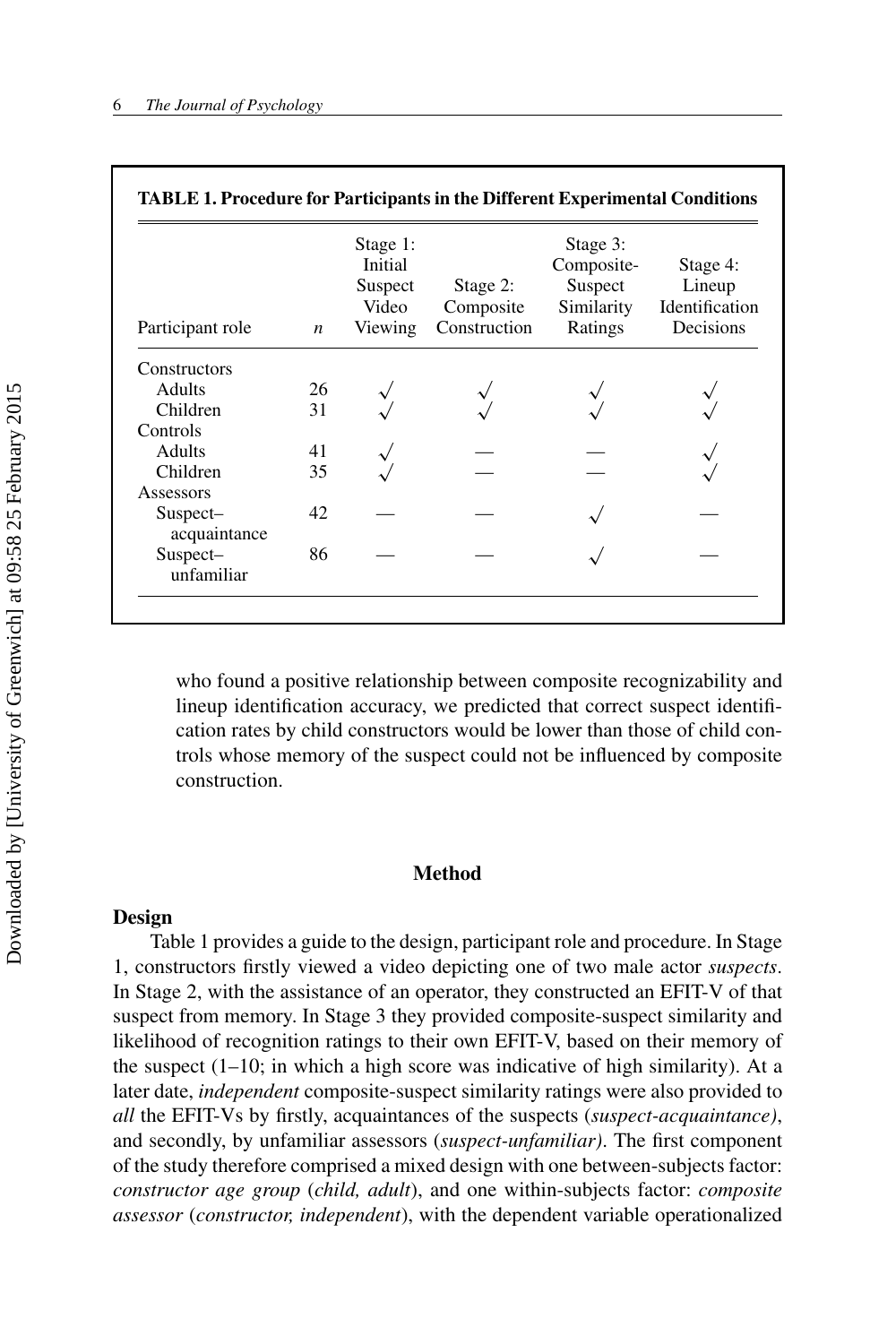| Participant role         | $\boldsymbol{n}$ | Stage 1:<br>Initial<br>Suspect<br>Video<br>Viewing | Stage 2:<br>Composite<br>Construction | Stage 3:<br>Composite-<br>Suspect<br>Similarity<br>Ratings | Stage 4:<br>Lineup<br>Identification<br>Decisions |
|--------------------------|------------------|----------------------------------------------------|---------------------------------------|------------------------------------------------------------|---------------------------------------------------|
| Constructors             |                  |                                                    |                                       |                                                            |                                                   |
| <b>Adults</b>            | 26               |                                                    |                                       |                                                            |                                                   |
| Children                 | 31               |                                                    |                                       |                                                            |                                                   |
| Controls                 |                  |                                                    |                                       |                                                            |                                                   |
| <b>Adults</b>            | 41               |                                                    |                                       |                                                            |                                                   |
| Children                 | 35               |                                                    |                                       |                                                            |                                                   |
| Assessors                |                  |                                                    |                                       |                                                            |                                                   |
| Suspect-<br>acquaintance | 42               |                                                    |                                       |                                                            |                                                   |
| Suspect-<br>unfamiliar   | 86               |                                                    |                                       |                                                            |                                                   |

who found a positive relationship between composite recognizability and lineup identification accuracy, we predicted that correct suspect identification rates by child constructors would be lower than those of child controls whose memory of the suspect could not be influenced by composite construction.

#### **Method**

#### **Design**

Table 1 provides a guide to the design, participant role and procedure. In Stage 1, constructors firstly viewed a video depicting one of two male actor *suspects*. In Stage 2, with the assistance of an operator, they constructed an EFIT-V of that suspect from memory. In Stage 3 they provided composite-suspect similarity and likelihood of recognition ratings to their own EFIT-V, based on their memory of the suspect  $(1-10)$ ; in which a high score was indicative of high similarity). At a later date, *independent* composite-suspect similarity ratings were also provided to *all* the EFIT-Vs by firstly, acquaintances of the suspects (*suspect-acquaintance)*, and secondly, by unfamiliar assessors (*suspect-unfamiliar)*. The first component of the study therefore comprised a mixed design with one between-subjects factor: *constructor age group* (*child, adult*), and one within-subjects factor: *composite assessor* (*constructor, independent*), with the dependent variable operationalized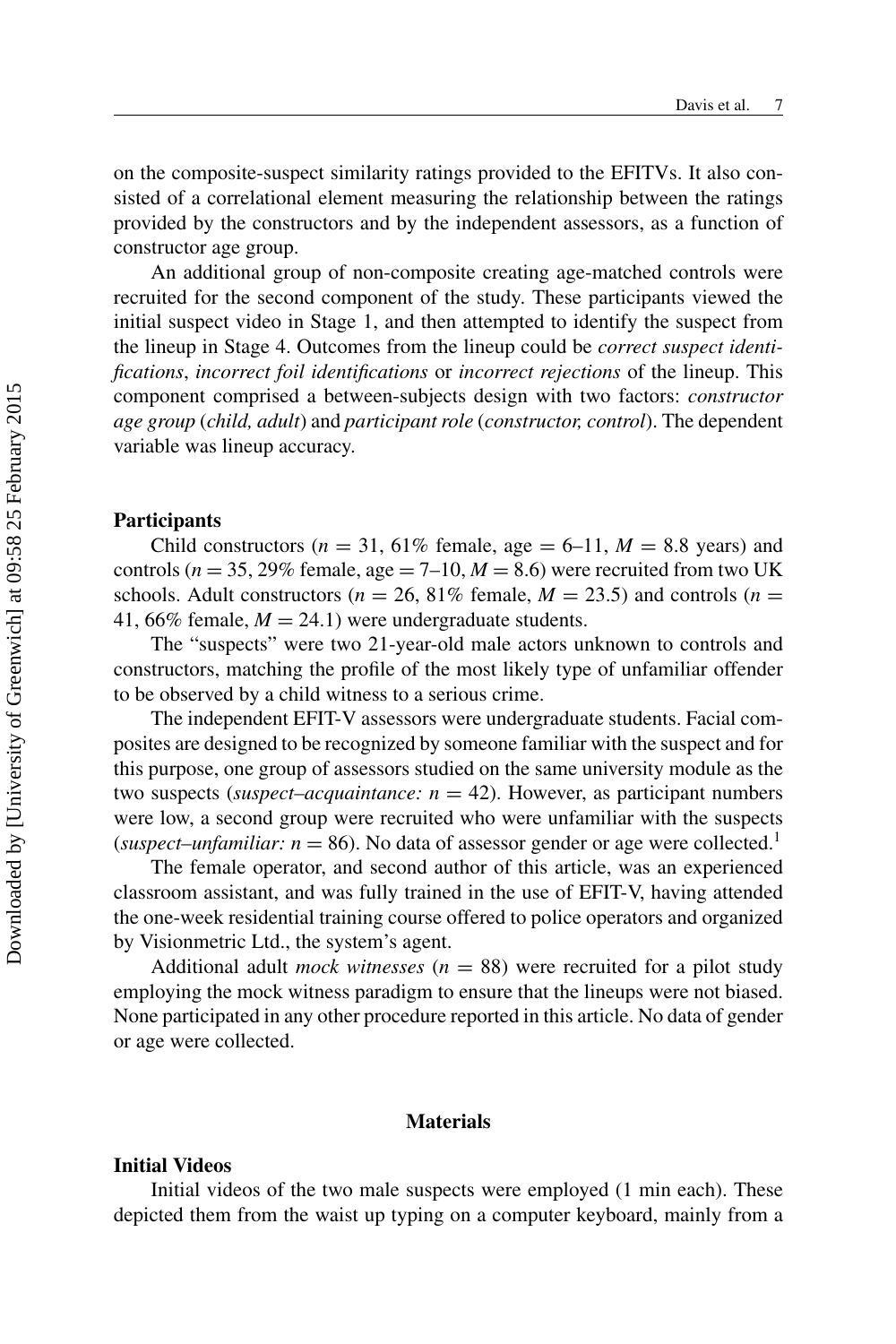on the composite-suspect similarity ratings provided to the EFITVs. It also consisted of a correlational element measuring the relationship between the ratings provided by the constructors and by the independent assessors, as a function of constructor age group.

An additional group of non-composite creating age-matched controls were recruited for the second component of the study. These participants viewed the initial suspect video in Stage 1, and then attempted to identify the suspect from the lineup in Stage 4. Outcomes from the lineup could be *correct suspect identifications*, *incorrect foil identifications* or *incorrect rejections* of the lineup. This component comprised a between-subjects design with two factors: *constructor age group* (*child, adult*) and *participant role* (*constructor, control*). The dependent variable was lineup accuracy.

#### **Participants**

Child constructors ( $n = 31,61\%$  female, age  $= 6-11, M = 8.8$  years) and controls ( $n = 35$ , 29% female, age  $= 7{\text -}10$ ,  $M = 8.6$ ) were recruited from two UK schools. Adult constructors ( $n = 26$ , 81% female,  $M = 23.5$ ) and controls ( $n =$ 41, 66% female,  $M = 24.1$ ) were undergraduate students.

The "suspects" were two 21-year-old male actors unknown to controls and constructors, matching the profile of the most likely type of unfamiliar offender to be observed by a child witness to a serious crime.

The independent EFIT-V assessors were undergraduate students. Facial composites are designed to be recognized by someone familiar with the suspect and for this purpose, one group of assessors studied on the same university module as the two suspects (*suspect–acquaintance: n* = 42). However, as participant numbers were low, a second group were recruited who were unfamiliar with the suspects (*suspect–unfamiliar: n* = 86). No data of assessor gender or age were collected.<sup>1</sup>

The female operator, and second author of this article, was an experienced classroom assistant, and was fully trained in the use of EFIT-V, having attended the one-week residential training course offered to police operators and organized by Visionmetric Ltd., the system's agent.

Additional adult *mock witnesses* (*n* = 88) were recruited for a pilot study employing the mock witness paradigm to ensure that the lineups were not biased. None participated in any other procedure reported in this article. No data of gender or age were collected.

#### **Materials**

#### **Initial Videos**

Initial videos of the two male suspects were employed (1 min each). These depicted them from the waist up typing on a computer keyboard, mainly from a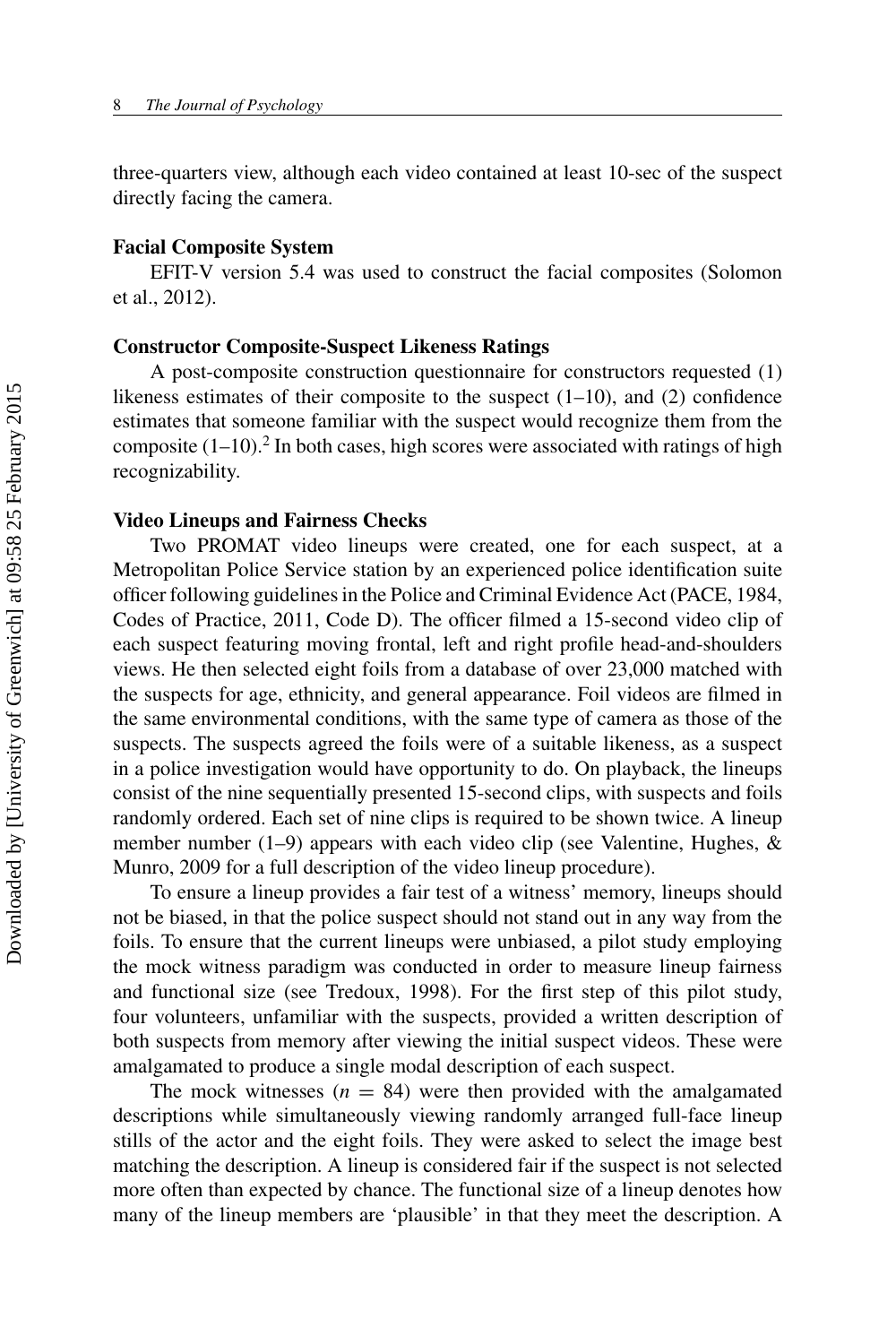three-quarters view, although each video contained at least 10-sec of the suspect directly facing the camera.

#### **Facial Composite System**

EFIT-V version 5.4 was used to construct the facial composites (Solomon et al., 2012).

#### **Constructor Composite-Suspect Likeness Ratings**

A post-composite construction questionnaire for constructors requested (1) likeness estimates of their composite to the suspect  $(1-10)$ , and  $(2)$  confidence estimates that someone familiar with the suspect would recognize them from the composite  $(1-10)$ .<sup>2</sup> In both cases, high scores were associated with ratings of high recognizability.

#### **Video Lineups and Fairness Checks**

Two PROMAT video lineups were created, one for each suspect, at a Metropolitan Police Service station by an experienced police identification suite officer following guidelines in the Police and Criminal Evidence Act (PACE, 1984, Codes of Practice, 2011, Code D). The officer filmed a 15-second video clip of each suspect featuring moving frontal, left and right profile head-and-shoulders views. He then selected eight foils from a database of over 23,000 matched with the suspects for age, ethnicity, and general appearance. Foil videos are filmed in the same environmental conditions, with the same type of camera as those of the suspects. The suspects agreed the foils were of a suitable likeness, as a suspect in a police investigation would have opportunity to do. On playback, the lineups consist of the nine sequentially presented 15-second clips, with suspects and foils randomly ordered. Each set of nine clips is required to be shown twice. A lineup member number (1–9) appears with each video clip (see Valentine, Hughes,  $\&$ Munro, 2009 for a full description of the video lineup procedure).

To ensure a lineup provides a fair test of a witness' memory, lineups should not be biased, in that the police suspect should not stand out in any way from the foils. To ensure that the current lineups were unbiased, a pilot study employing the mock witness paradigm was conducted in order to measure lineup fairness and functional size (see Tredoux, 1998). For the first step of this pilot study, four volunteers, unfamiliar with the suspects, provided a written description of both suspects from memory after viewing the initial suspect videos. These were amalgamated to produce a single modal description of each suspect.

The mock witnesses  $(n = 84)$  were then provided with the amalgamated descriptions while simultaneously viewing randomly arranged full-face lineup stills of the actor and the eight foils. They were asked to select the image best matching the description. A lineup is considered fair if the suspect is not selected more often than expected by chance. The functional size of a lineup denotes how many of the lineup members are 'plausible' in that they meet the description. A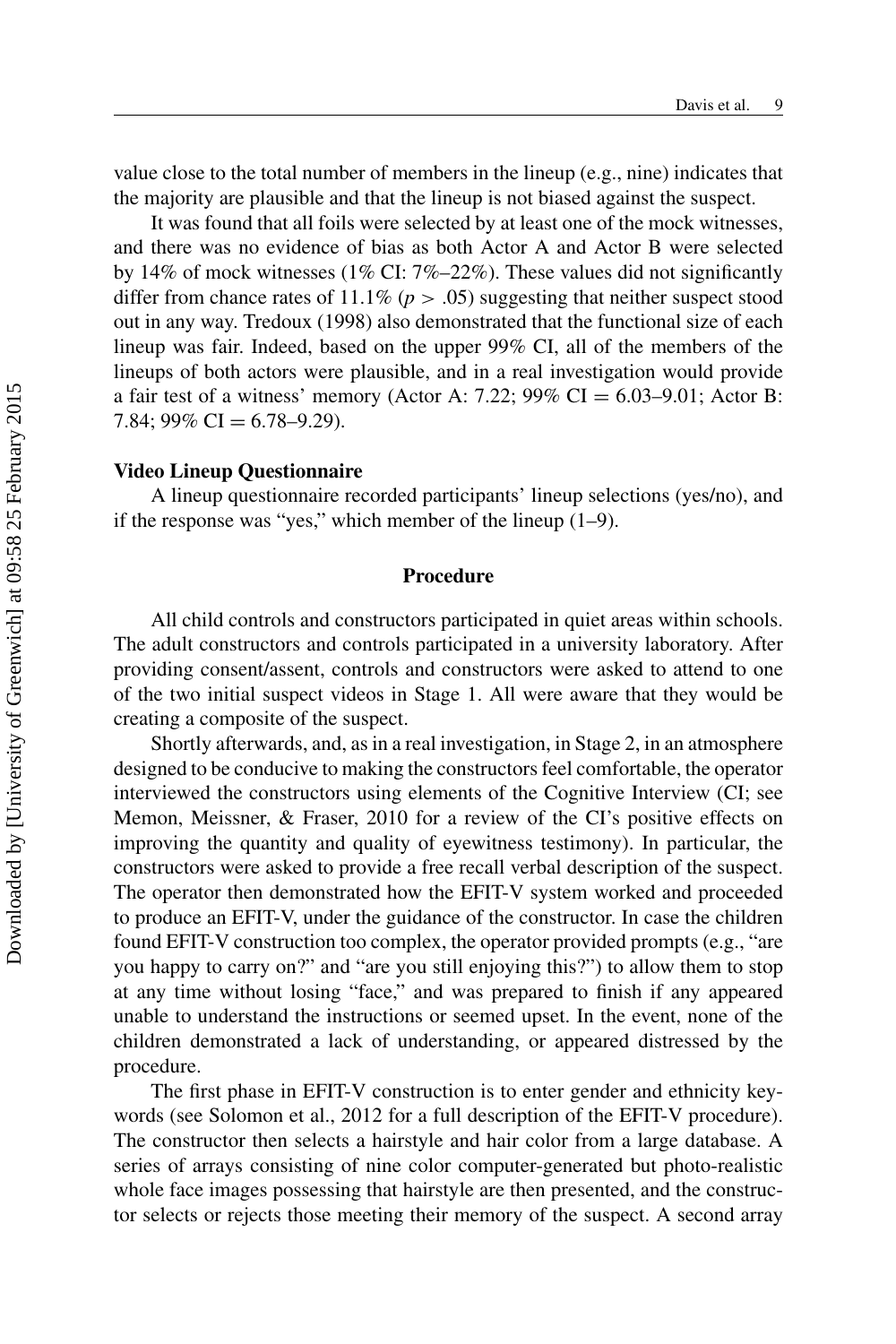value close to the total number of members in the lineup (e.g., nine) indicates that the majority are plausible and that the lineup is not biased against the suspect.

It was found that all foils were selected by at least one of the mock witnesses, and there was no evidence of bias as both Actor A and Actor B were selected by 14% of mock witnesses (1% CI:  $7\%-22\%$ ). These values did not significantly differ from chance rates of  $11.1\%$  ( $p > .05$ ) suggesting that neither suspect stood out in any way. Tredoux (1998) also demonstrated that the functional size of each lineup was fair. Indeed, based on the upper 99% CI, all of the members of the lineups of both actors were plausible, and in a real investigation would provide a fair test of a witness' memory (Actor A: 7.22; 99% CI =  $6.03-9.01$ ; Actor B: 7.84; 99% CI =  $6.78-9.29$ ).

#### **Video Lineup Questionnaire**

A lineup questionnaire recorded participants' lineup selections (yes/no), and if the response was "yes," which member of the lineup (1–9).

#### **Procedure**

All child controls and constructors participated in quiet areas within schools. The adult constructors and controls participated in a university laboratory. After providing consent/assent, controls and constructors were asked to attend to one of the two initial suspect videos in Stage 1. All were aware that they would be creating a composite of the suspect.

Shortly afterwards, and, as in a real investigation, in Stage 2, in an atmosphere designed to be conducive to making the constructors feel comfortable, the operator interviewed the constructors using elements of the Cognitive Interview (CI; see Memon, Meissner, & Fraser, 2010 for a review of the CI's positive effects on improving the quantity and quality of eyewitness testimony). In particular, the constructors were asked to provide a free recall verbal description of the suspect. The operator then demonstrated how the EFIT-V system worked and proceeded to produce an EFIT-V, under the guidance of the constructor. In case the children found EFIT-V construction too complex, the operator provided prompts (e.g., "are you happy to carry on?" and "are you still enjoying this?") to allow them to stop at any time without losing "face," and was prepared to finish if any appeared unable to understand the instructions or seemed upset. In the event, none of the children demonstrated a lack of understanding, or appeared distressed by the procedure.

The first phase in EFIT-V construction is to enter gender and ethnicity keywords (see Solomon et al., 2012 for a full description of the EFIT-V procedure). The constructor then selects a hairstyle and hair color from a large database. A series of arrays consisting of nine color computer-generated but photo-realistic whole face images possessing that hairstyle are then presented, and the constructor selects or rejects those meeting their memory of the suspect. A second array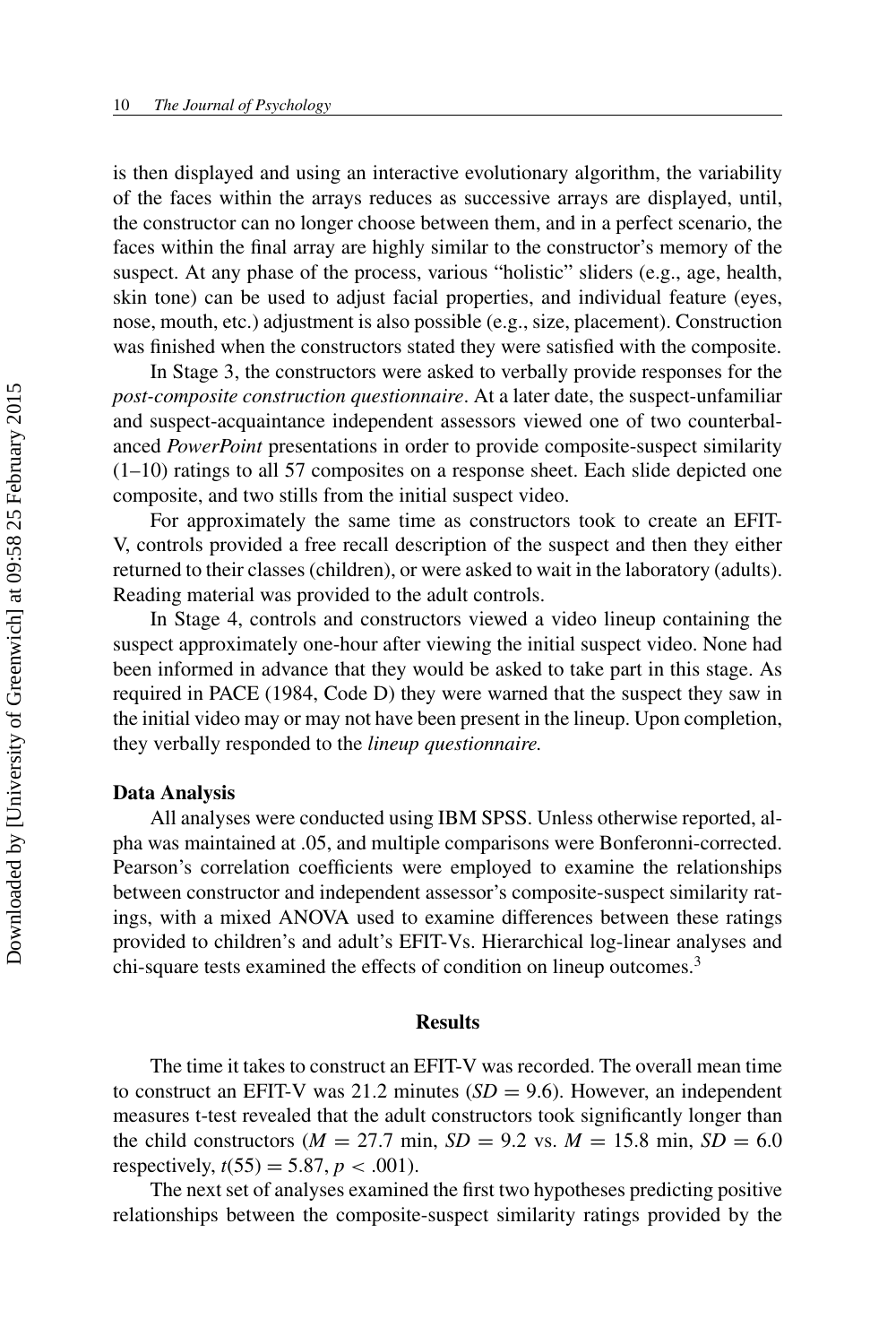is then displayed and using an interactive evolutionary algorithm, the variability of the faces within the arrays reduces as successive arrays are displayed, until, the constructor can no longer choose between them, and in a perfect scenario, the faces within the final array are highly similar to the constructor's memory of the suspect. At any phase of the process, various "holistic" sliders (e.g., age, health, skin tone) can be used to adjust facial properties, and individual feature (eyes, nose, mouth, etc.) adjustment is also possible (e.g., size, placement). Construction was finished when the constructors stated they were satisfied with the composite.

In Stage 3, the constructors were asked to verbally provide responses for the *post-composite construction questionnaire*. At a later date, the suspect-unfamiliar and suspect-acquaintance independent assessors viewed one of two counterbalanced *PowerPoint* presentations in order to provide composite-suspect similarity  $(1-10)$  ratings to all 57 composites on a response sheet. Each slide depicted one composite, and two stills from the initial suspect video.

For approximately the same time as constructors took to create an EFIT-V, controls provided a free recall description of the suspect and then they either returned to their classes (children), or were asked to wait in the laboratory (adults). Reading material was provided to the adult controls.

In Stage 4, controls and constructors viewed a video lineup containing the suspect approximately one-hour after viewing the initial suspect video. None had been informed in advance that they would be asked to take part in this stage. As required in PACE (1984, Code D) they were warned that the suspect they saw in the initial video may or may not have been present in the lineup. Upon completion, they verbally responded to the *lineup questionnaire.*

#### **Data Analysis**

All analyses were conducted using IBM SPSS. Unless otherwise reported, alpha was maintained at .05, and multiple comparisons were Bonferonni-corrected. Pearson's correlation coefficients were employed to examine the relationships between constructor and independent assessor's composite-suspect similarity ratings, with a mixed ANOVA used to examine differences between these ratings provided to children's and adult's EFIT-Vs. Hierarchical log-linear analyses and chi-square tests examined the effects of condition on lineup outcomes.<sup>3</sup>

#### **Results**

The time it takes to construct an EFIT-V was recorded. The overall mean time to construct an EFIT-V was 21.2 minutes  $(SD = 9.6)$ . However, an independent measures t-test revealed that the adult constructors took significantly longer than the child constructors ( $M = 27.7$  min,  $SD = 9.2$  vs.  $M = 15.8$  min,  $SD = 6.0$ respectively,  $t(55) = 5.87, p < .001$ .

The next set of analyses examined the first two hypotheses predicting positive relationships between the composite-suspect similarity ratings provided by the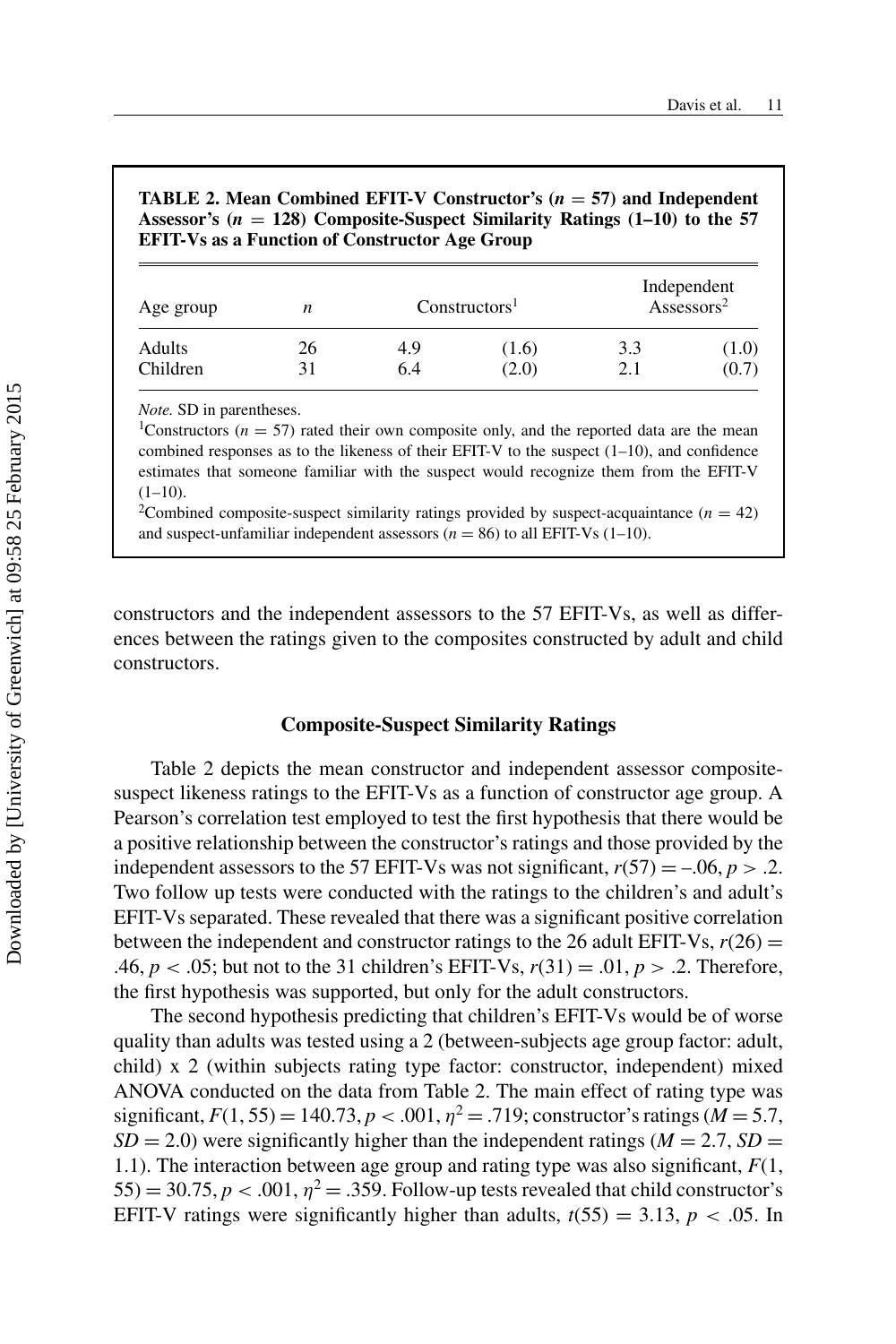**TABLE 2. Mean Combined EFIT-V Constructor's (***<sup>n</sup>* <sup>=</sup> **57) and Independent Assessor's (***<sup>n</sup>* <sup>=</sup> **128) Composite-Suspect Similarity Ratings (1–10) to the 57 EFIT-Vs as a Function of Constructor Age Group**

| Age group | n  |     | Constructions <sup>1</sup> | Independent<br>Assessors <sup>2</sup> |       |
|-----------|----|-----|----------------------------|---------------------------------------|-------|
| Adults    | 26 | 4.9 | (1.6)                      | 3.3                                   | (1.0) |
| Children  |    | 6.4 | (2.0)                      | 2.1                                   | (0.7) |

*Note.* SD in parentheses.

<sup>1</sup>Constructors ( $n = 57$ ) rated their own composite only, and the reported data are the mean combined responses as to the likeness of their EFIT-V to the suspect  $(1-10)$ , and confidence estimates that someone familiar with the suspect would recognize them from the EFIT-V  $(1-10)$ . <sup>2</sup>Combined composite-suspect similarity ratings provided by suspect-acquaintance  $(n = 42)$ 

and suspect-unfamiliar independent assessors  $(n = 86)$  to all EFIT-Vs  $(1-10)$ .

constructors and the independent assessors to the 57 EFIT-Vs, as well as differences between the ratings given to the composites constructed by adult and child constructors.

#### **Composite-Suspect Similarity Ratings**

Table 2 depicts the mean constructor and independent assessor compositesuspect likeness ratings to the EFIT-Vs as a function of constructor age group. A Pearson's correlation test employed to test the first hypothesis that there would be a positive relationship between the constructor's ratings and those provided by the independent assessors to the 57 EFIT-Vs was not significant,  $r(57) = -.06$ ,  $p > .2$ . Two follow up tests were conducted with the ratings to the children's and adult's EFIT-Vs separated. These revealed that there was a significant positive correlation between the independent and constructor ratings to the 26 adult EFIT-Vs,  $r(26)$  = .46, *p* < .05; but not to the 31 children's EFIT-Vs, *r*(31) = .01, *p* > .2. Therefore, the first hypothesis was supported, but only for the adult constructors.

The second hypothesis predicting that children's EFIT-Vs would be of worse quality than adults was tested using a 2 (between-subjects age group factor: adult, child) x 2 (within subjects rating type factor: constructor, independent) mixed ANOVA conducted on the data from Table 2. The main effect of rating type was significant,  $F(1, 55) = 140.73$ ,  $p < .001$ ,  $\eta^2 = .719$ ; constructor's ratings (*M* = 5.7,  $SD = 2.0$ ) were significantly higher than the independent ratings ( $M = 2.7$ ,  $SD =$ 1.1). The interaction between age group and rating type was also significant, *F*(1,  $(55) = 30.75, p < .001, \eta^2 = .359$ . Follow-up tests revealed that child constructor's EFIT-V ratings were significantly higher than adults,  $t(55) = 3.13$ ,  $p < .05$ . In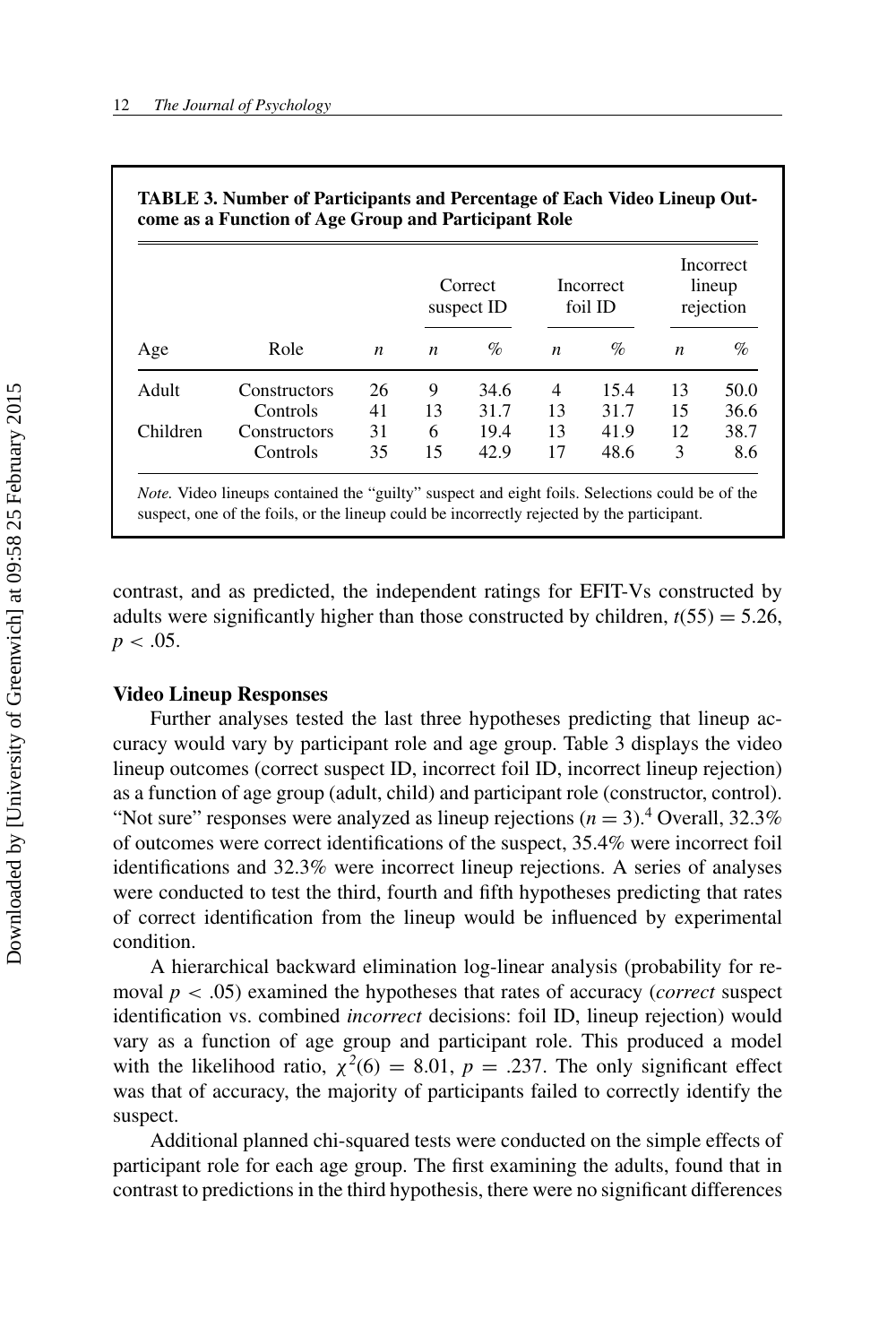|          |              |    | Correct<br>suspect ID |      | Incorrect<br>foil ID |      | Incorrect<br>lineup<br>rejection |      |
|----------|--------------|----|-----------------------|------|----------------------|------|----------------------------------|------|
| Age      | Role         | n  | n                     | $\%$ | $\boldsymbol{n}$     | $\%$ | $\boldsymbol{n}$                 | $\%$ |
| Adult    | Constructors | 26 | 9                     | 34.6 | $\overline{4}$       | 15.4 | 13                               | 50.0 |
|          | Controls     | 41 | 13                    | 31.7 | 13                   | 31.7 | 15                               | 36.6 |
| Children | Constructors | 31 | 6                     | 19.4 | 13                   | 41.9 | 12                               | 38.7 |
|          | Controls     | 35 | 15                    | 42.9 | 17                   | 48.6 | 3                                | 8.6  |

| TABLE 3. Number of Participants and Percentage of Each Video Lineup Out- |  |
|--------------------------------------------------------------------------|--|
| come as a Function of Age Group and Participant Role                     |  |

*Note.* Video lineups contained the "guilty" suspect and eight foils. Selections could be of the suspect, one of the foils, or the lineup could be incorrectly rejected by the participant.

contrast, and as predicted, the independent ratings for EFIT-Vs constructed by adults were significantly higher than those constructed by children,  $t(55) = 5.26$ ,  $p < .05$ .

#### **Video Lineup Responses**

Further analyses tested the last three hypotheses predicting that lineup accuracy would vary by participant role and age group. Table 3 displays the video lineup outcomes (correct suspect ID, incorrect foil ID, incorrect lineup rejection) as a function of age group (adult, child) and participant role (constructor, control). "Not sure" responses were analyzed as lineup rejections  $(n = 3)$ .<sup>4</sup> Overall, 32.3% of outcomes were correct identifications of the suspect, 35.4% were incorrect foil identifications and 32.3% were incorrect lineup rejections. A series of analyses were conducted to test the third, fourth and fifth hypotheses predicting that rates of correct identification from the lineup would be influenced by experimental condition.

A hierarchical backward elimination log-linear analysis (probability for removal *p* < .05) examined the hypotheses that rates of accuracy (*correct* suspect identification vs. combined *incorrect* decisions: foil ID, lineup rejection) would vary as a function of age group and participant role. This produced a model with the likelihood ratio,  $\chi^2(6) = 8.01$ ,  $p = .237$ . The only significant effect was that of accuracy, the majority of participants failed to correctly identify the suspect.

Additional planned chi-squared tests were conducted on the simple effects of participant role for each age group. The first examining the adults, found that in contrast to predictions in the third hypothesis, there were no significant differences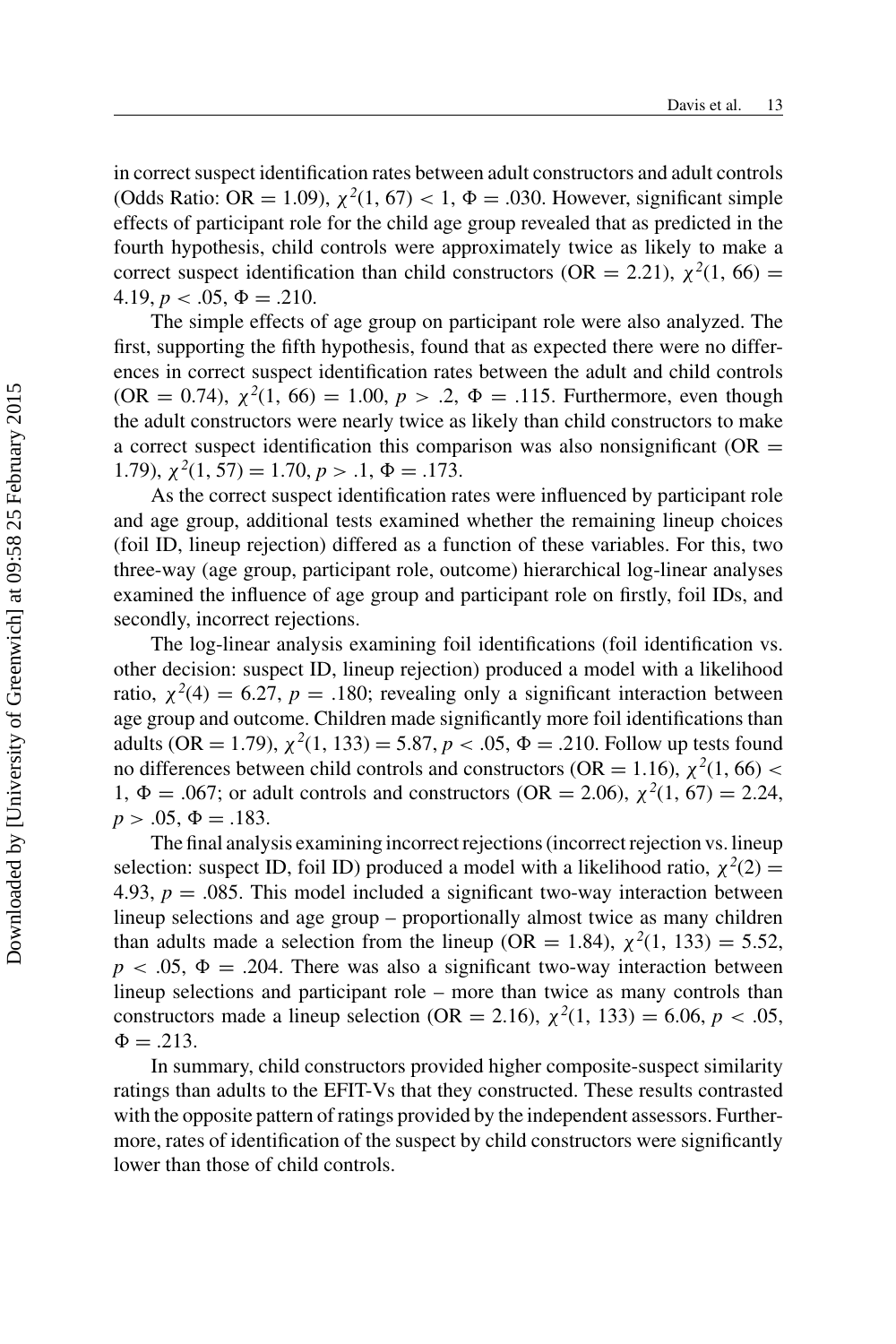in correct suspect identification rates between adult constructors and adult controls (Odds Ratio: OR = 1.09),  $\chi^2(1, 67) < 1, \Phi = .030$ . However, significant simple effects of participant role for the child age group revealed that as predicted in the fourth hypothesis, child controls were approximately twice as likely to make a correct suspect identification than child constructors (OR = 2.21),  $\chi^2(1, 66)$  =  $4.19, p < .05, \Phi = .210.$ 

The simple effects of age group on participant role were also analyzed. The first, supporting the fifth hypothesis, found that as expected there were no differences in correct suspect identification rates between the adult and child controls  $(OR = 0.74)$ ,  $\chi^2(1, 66) = 1.00$ ,  $p > .2$ ,  $\Phi = .115$ . Furthermore, even though the adult constructors were nearly twice as likely than child constructors to make a correct suspect identification this comparison was also nonsignificant ( $OR =$ 1.79),  $\chi^2(1, 57) = 1.70, p > .1, \Phi = .173.$ 

As the correct suspect identification rates were influenced by participant role and age group, additional tests examined whether the remaining lineup choices (foil ID, lineup rejection) differed as a function of these variables. For this, two three-way (age group, participant role, outcome) hierarchical log-linear analyses examined the influence of age group and participant role on firstly, foil IDs, and secondly, incorrect rejections.

The log-linear analysis examining foil identifications (foil identification vs. other decision: suspect ID, lineup rejection) produced a model with a likelihood ratio,  $\chi^2(4) = 6.27$ ,  $p = .180$ ; revealing only a significant interaction between age group and outcome. Children made significantly more foil identifications than adults (OR = 1.79),  $\chi^2(1, 133) = 5.87, p < .05, \Phi = .210$ . Follow up tests found no differences between child controls and constructors  $(OR = 1.16)$ ,  $\chi^2(1, 66)$  < 1,  $Φ = .067$ ; or adult controls and constructors (OR = 2.06),  $χ<sup>2</sup>(1, 67) = 2.24$ ,  $p > .05, \Phi = .183.$ 

The final analysis examining incorrect rejections (incorrect rejection vs. lineup selection: suspect ID, foil ID) produced a model with a likelihood ratio,  $\chi^2(2)$  = 4.93,  $p = 0.085$ . This model included a significant two-way interaction between lineup selections and age group – proportionally almost twice as many children than adults made a selection from the lineup (OR = 1.84),  $\chi^2(1, 133) = 5.52$ ,  $p < .05$ ,  $\Phi = .204$ . There was also a significant two-way interaction between lineup selections and participant role – more than twice as many controls than constructors made a lineup selection (OR = 2.16),  $\chi^2(1, 133) = 6.06, p < .05$ ,  $\Phi = .213$ .

In summary, child constructors provided higher composite-suspect similarity ratings than adults to the EFIT-Vs that they constructed. These results contrasted with the opposite pattern of ratings provided by the independent assessors. Furthermore, rates of identification of the suspect by child constructors were significantly lower than those of child controls.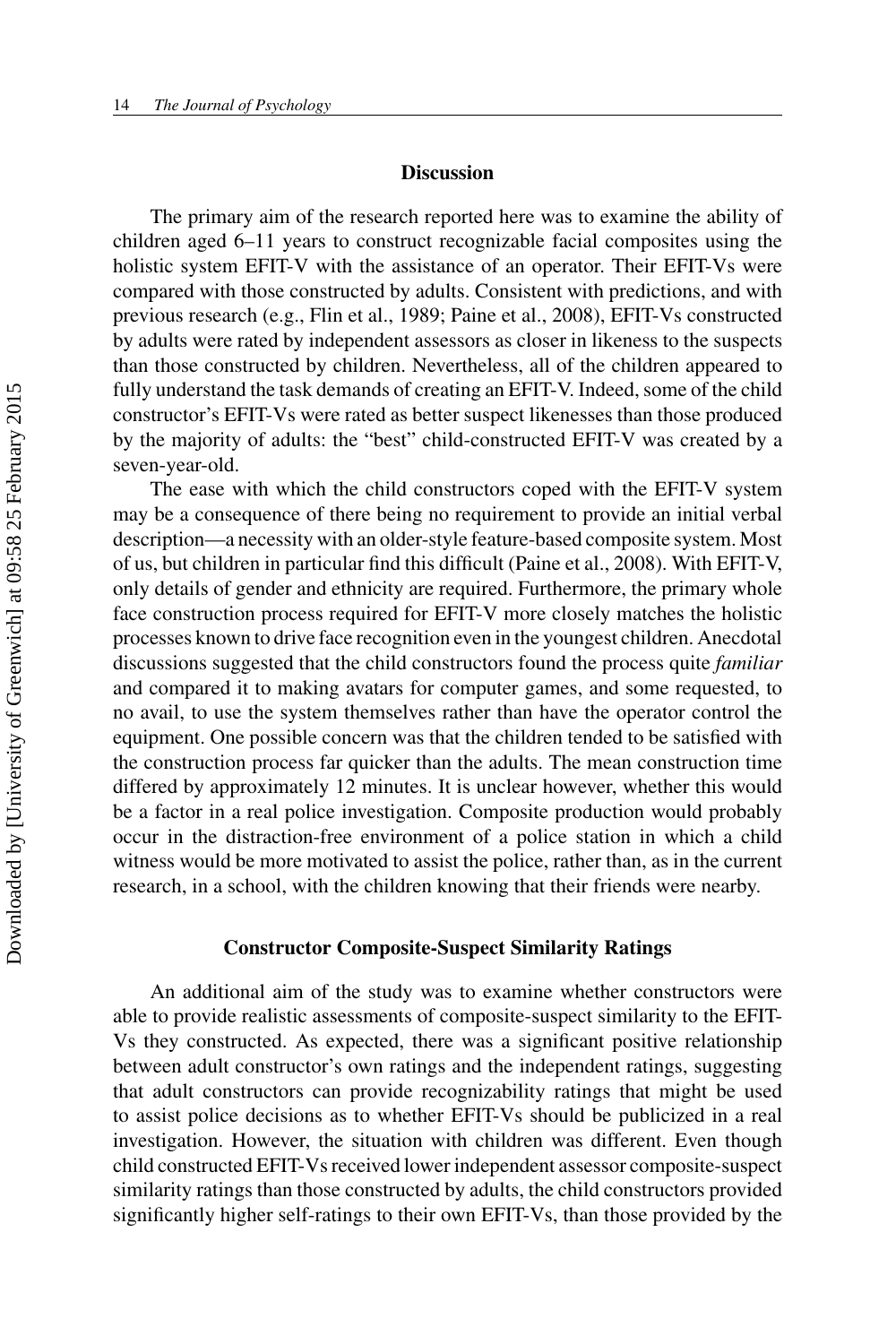#### **Discussion**

The primary aim of the research reported here was to examine the ability of children aged 6–11 years to construct recognizable facial composites using the holistic system EFIT-V with the assistance of an operator. Their EFIT-Vs were compared with those constructed by adults. Consistent with predictions, and with previous research (e.g., Flin et al., 1989; Paine et al., 2008), EFIT-Vs constructed by adults were rated by independent assessors as closer in likeness to the suspects than those constructed by children. Nevertheless, all of the children appeared to fully understand the task demands of creating an EFIT-V. Indeed, some of the child constructor's EFIT-Vs were rated as better suspect likenesses than those produced by the majority of adults: the "best" child-constructed EFIT-V was created by a seven-year-old.

The ease with which the child constructors coped with the EFIT-V system may be a consequence of there being no requirement to provide an initial verbal description—a necessity with an older-style feature-based composite system. Most of us, but children in particular find this difficult (Paine et al., 2008). With EFIT-V, only details of gender and ethnicity are required. Furthermore, the primary whole face construction process required for EFIT-V more closely matches the holistic processes known to drive face recognition even in the youngest children. Anecdotal discussions suggested that the child constructors found the process quite *familiar* and compared it to making avatars for computer games, and some requested, to no avail, to use the system themselves rather than have the operator control the equipment. One possible concern was that the children tended to be satisfied with the construction process far quicker than the adults. The mean construction time differed by approximately 12 minutes. It is unclear however, whether this would be a factor in a real police investigation. Composite production would probably occur in the distraction-free environment of a police station in which a child witness would be more motivated to assist the police, rather than, as in the current research, in a school, with the children knowing that their friends were nearby.

#### **Constructor Composite-Suspect Similarity Ratings**

An additional aim of the study was to examine whether constructors were able to provide realistic assessments of composite-suspect similarity to the EFIT-Vs they constructed. As expected, there was a significant positive relationship between adult constructor's own ratings and the independent ratings, suggesting that adult constructors can provide recognizability ratings that might be used to assist police decisions as to whether EFIT-Vs should be publicized in a real investigation. However, the situation with children was different. Even though child constructed EFIT-Vs received lower independent assessor composite-suspect similarity ratings than those constructed by adults, the child constructors provided significantly higher self-ratings to their own EFIT-Vs, than those provided by the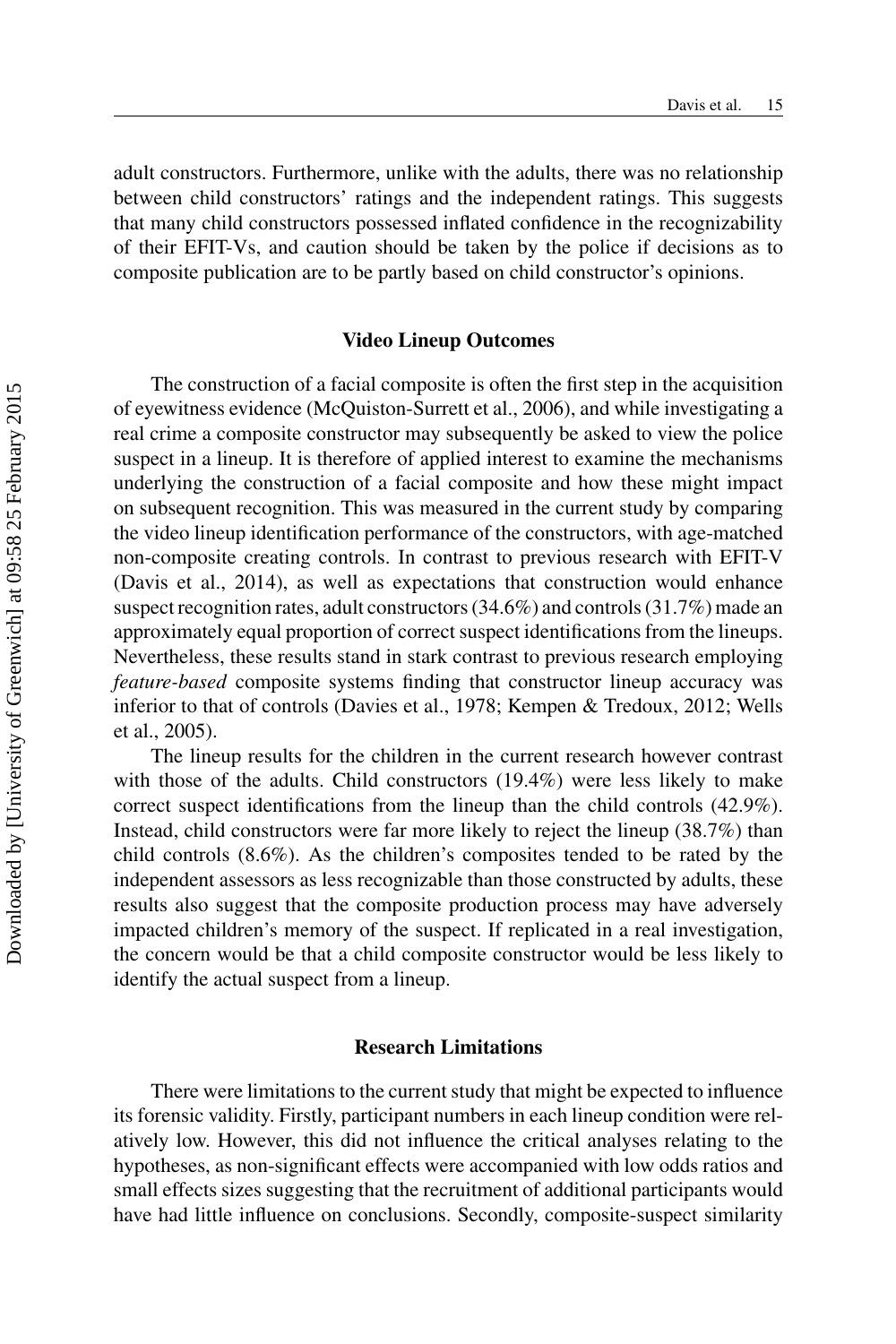adult constructors. Furthermore, unlike with the adults, there was no relationship between child constructors' ratings and the independent ratings. This suggests that many child constructors possessed inflated confidence in the recognizability of their EFIT-Vs, and caution should be taken by the police if decisions as to composite publication are to be partly based on child constructor's opinions.

#### **Video Lineup Outcomes**

The construction of a facial composite is often the first step in the acquisition of eyewitness evidence (McQuiston-Surrett et al., 2006), and while investigating a real crime a composite constructor may subsequently be asked to view the police suspect in a lineup. It is therefore of applied interest to examine the mechanisms underlying the construction of a facial composite and how these might impact on subsequent recognition. This was measured in the current study by comparing the video lineup identification performance of the constructors, with age-matched non-composite creating controls. In contrast to previous research with EFIT-V (Davis et al., 2014), as well as expectations that construction would enhance suspect recognition rates, adult constructors (34.6%) and controls (31.7%) made an approximately equal proportion of correct suspect identifications from the lineups. Nevertheless, these results stand in stark contrast to previous research employing *feature-based* composite systems finding that constructor lineup accuracy was inferior to that of controls (Davies et al., 1978; Kempen & Tredoux, 2012; Wells et al., 2005).

The lineup results for the children in the current research however contrast with those of the adults. Child constructors (19.4%) were less likely to make correct suspect identifications from the lineup than the child controls (42.9%). Instead, child constructors were far more likely to reject the lineup (38.7%) than child controls (8.6%). As the children's composites tended to be rated by the independent assessors as less recognizable than those constructed by adults, these results also suggest that the composite production process may have adversely impacted children's memory of the suspect. If replicated in a real investigation, the concern would be that a child composite constructor would be less likely to identify the actual suspect from a lineup.

#### **Research Limitations**

There were limitations to the current study that might be expected to influence its forensic validity. Firstly, participant numbers in each lineup condition were relatively low. However, this did not influence the critical analyses relating to the hypotheses, as non-significant effects were accompanied with low odds ratios and small effects sizes suggesting that the recruitment of additional participants would have had little influence on conclusions. Secondly, composite-suspect similarity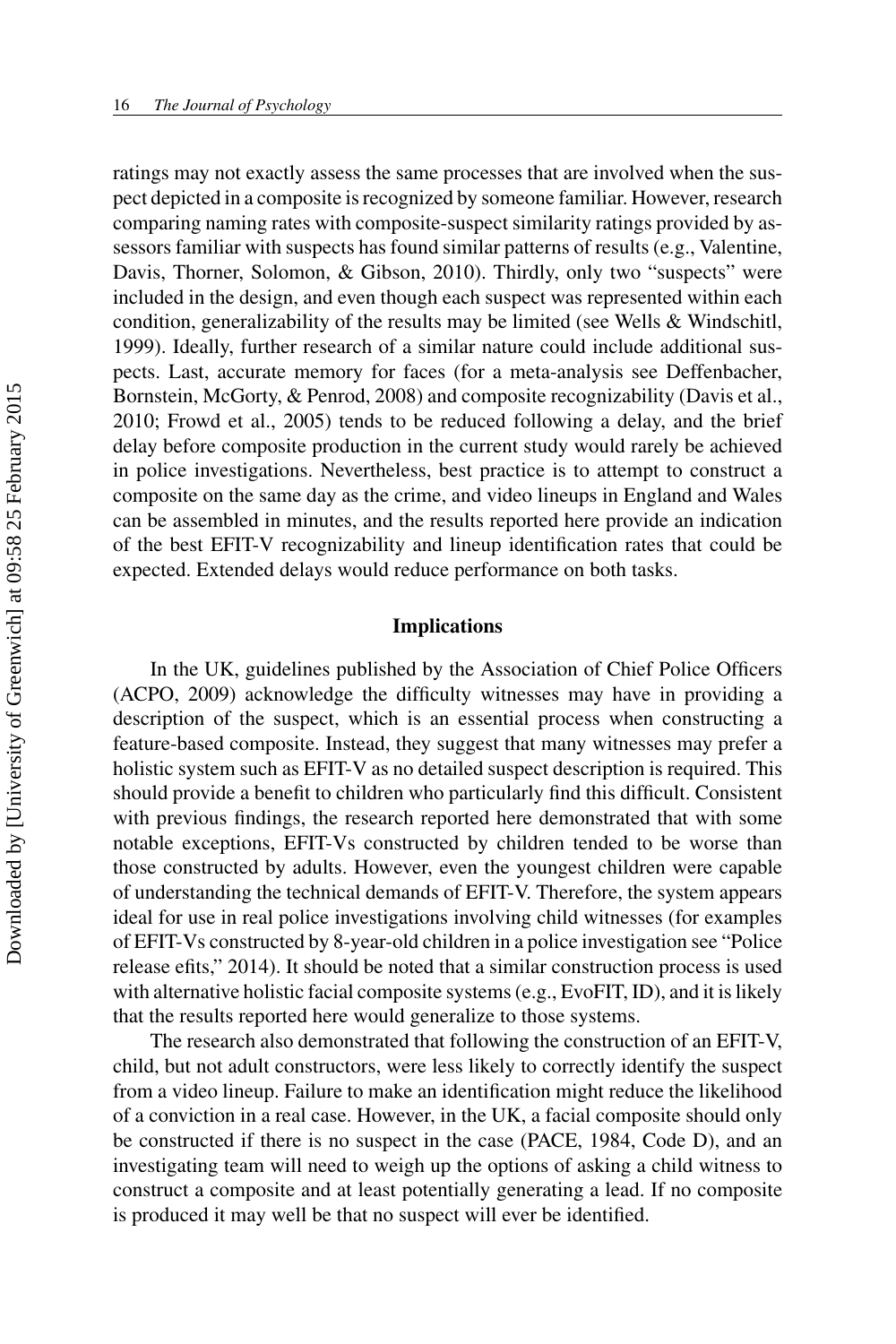ratings may not exactly assess the same processes that are involved when the suspect depicted in a composite is recognized by someone familiar. However, research comparing naming rates with composite-suspect similarity ratings provided by assessors familiar with suspects has found similar patterns of results (e.g., Valentine, Davis, Thorner, Solomon, & Gibson, 2010). Thirdly, only two "suspects" were included in the design, and even though each suspect was represented within each condition, generalizability of the results may be limited (see Wells & Windschitl, 1999). Ideally, further research of a similar nature could include additional suspects. Last, accurate memory for faces (for a meta-analysis see Deffenbacher, Bornstein, McGorty, & Penrod, 2008) and composite recognizability (Davis et al., 2010; Frowd et al., 2005) tends to be reduced following a delay, and the brief delay before composite production in the current study would rarely be achieved in police investigations. Nevertheless, best practice is to attempt to construct a composite on the same day as the crime, and video lineups in England and Wales can be assembled in minutes, and the results reported here provide an indication of the best EFIT-V recognizability and lineup identification rates that could be expected. Extended delays would reduce performance on both tasks.

#### **Implications**

In the UK, guidelines published by the Association of Chief Police Officers (ACPO, 2009) acknowledge the difficulty witnesses may have in providing a description of the suspect, which is an essential process when constructing a feature-based composite. Instead, they suggest that many witnesses may prefer a holistic system such as EFIT-V as no detailed suspect description is required. This should provide a benefit to children who particularly find this difficult. Consistent with previous findings, the research reported here demonstrated that with some notable exceptions, EFIT-Vs constructed by children tended to be worse than those constructed by adults. However, even the youngest children were capable of understanding the technical demands of EFIT-V. Therefore, the system appears ideal for use in real police investigations involving child witnesses (for examples of EFIT-Vs constructed by 8-year-old children in a police investigation see "Police release efits," 2014). It should be noted that a similar construction process is used with alternative holistic facial composite systems (e.g., EvoFIT, ID), and it is likely that the results reported here would generalize to those systems.

The research also demonstrated that following the construction of an EFIT-V, child, but not adult constructors, were less likely to correctly identify the suspect from a video lineup. Failure to make an identification might reduce the likelihood of a conviction in a real case. However, in the UK, a facial composite should only be constructed if there is no suspect in the case (PACE, 1984, Code D), and an investigating team will need to weigh up the options of asking a child witness to construct a composite and at least potentially generating a lead. If no composite is produced it may well be that no suspect will ever be identified.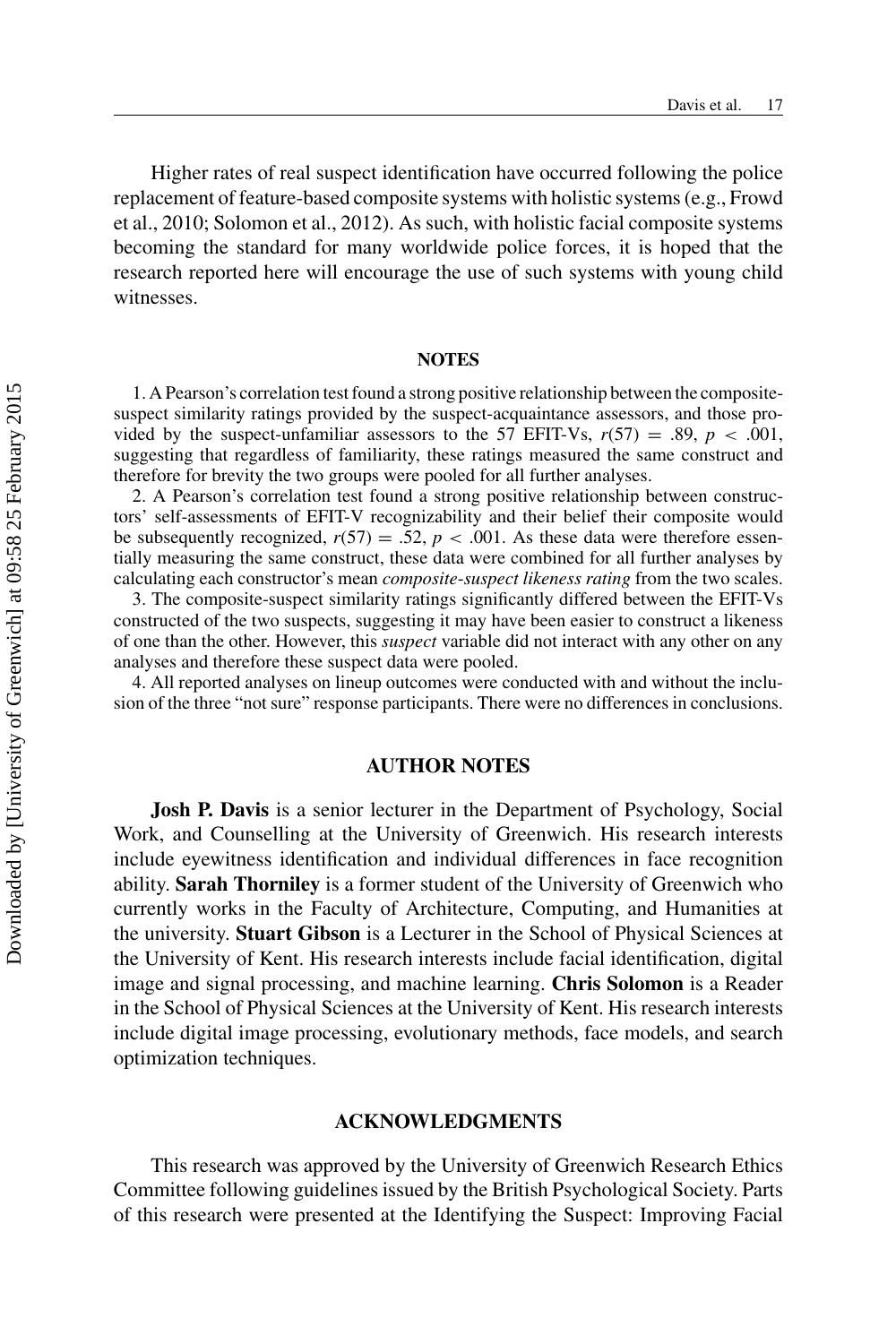Higher rates of real suspect identification have occurred following the police replacement of feature-based composite systems with holistic systems (e.g., Frowd et al., 2010; Solomon et al., 2012). As such, with holistic facial composite systems becoming the standard for many worldwide police forces, it is hoped that the research reported here will encourage the use of such systems with young child witnesses.

#### **NOTES**

1. A Pearson's correlation test found a strong positive relationship between the compositesuspect similarity ratings provided by the suspect-acquaintance assessors, and those provided by the suspect-unfamiliar assessors to the 57 EFIT-Vs,  $r(57) = .89$ ,  $p < .001$ , suggesting that regardless of familiarity, these ratings measured the same construct and therefore for brevity the two groups were pooled for all further analyses.

2. A Pearson's correlation test found a strong positive relationship between constructors' self-assessments of EFIT-V recognizability and their belief their composite would be subsequently recognized,  $r(57) = .52$ ,  $p < .001$ . As these data were therefore essentially measuring the same construct, these data were combined for all further analyses by calculating each constructor's mean *composite*-*suspect likeness rating* from the two scales.

3. The composite-suspect similarity ratings significantly differed between the EFIT-Vs constructed of the two suspects, suggesting it may have been easier to construct a likeness of one than the other. However, this *suspect* variable did not interact with any other on any analyses and therefore these suspect data were pooled.

4. All reported analyses on lineup outcomes were conducted with and without the inclusion of the three "not sure" response participants. There were no differences in conclusions.

#### **AUTHOR NOTES**

**Josh P. Davis** is a senior lecturer in the Department of Psychology, Social Work, and Counselling at the University of Greenwich. His research interests include eyewitness identification and individual differences in face recognition ability. **Sarah Thorniley** is a former student of the University of Greenwich who currently works in the Faculty of Architecture, Computing, and Humanities at the university. **Stuart Gibson** is a Lecturer in the School of Physical Sciences at the University of Kent. His research interests include facial identification, digital image and signal processing, and machine learning. **Chris Solomon** is a Reader in the School of Physical Sciences at the University of Kent. His research interests include digital image processing, evolutionary methods, face models, and search optimization techniques.

#### **ACKNOWLEDGMENTS**

This research was approved by the University of Greenwich Research Ethics Committee following guidelines issued by the British Psychological Society. Parts of this research were presented at the Identifying the Suspect: Improving Facial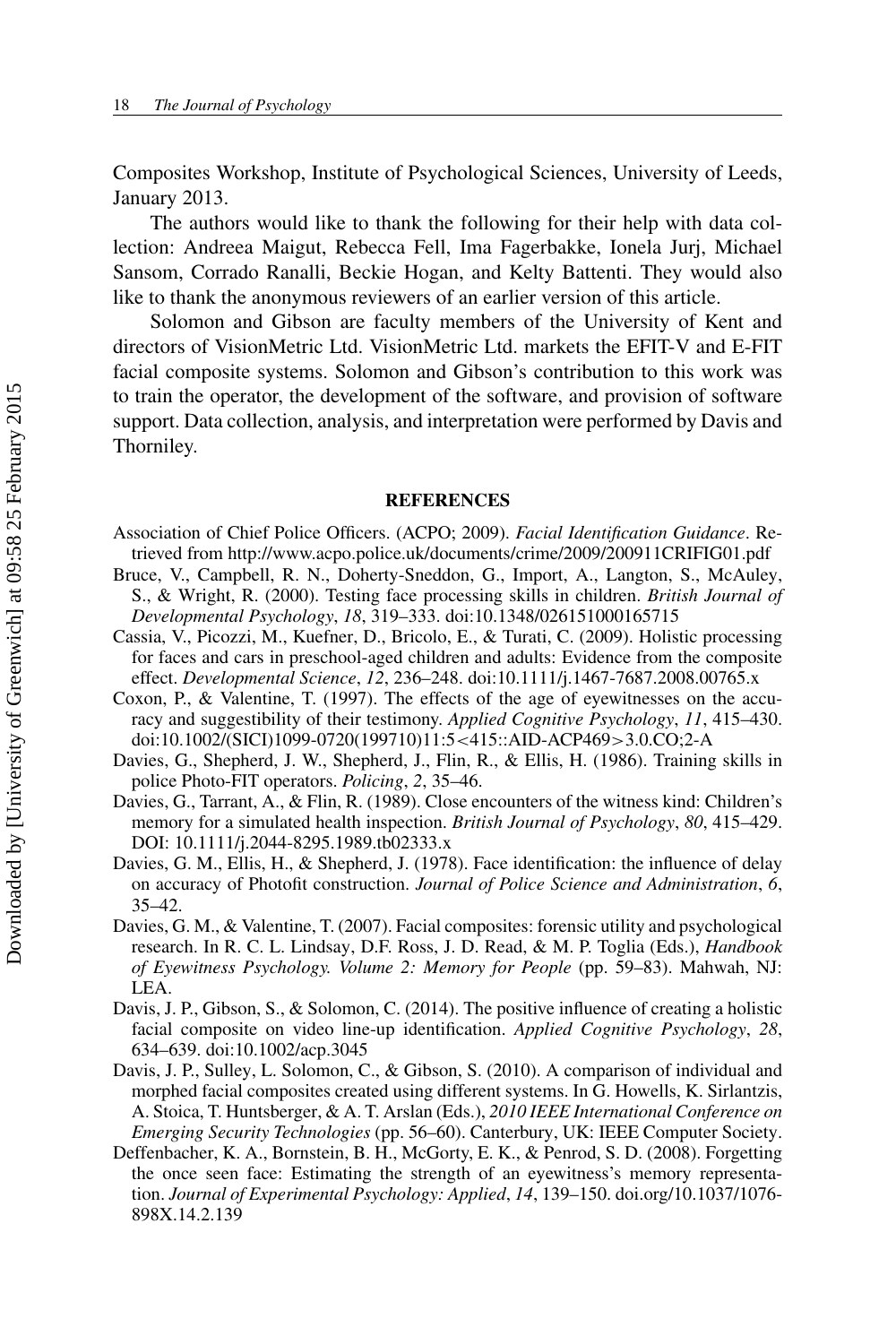Composites Workshop, Institute of Psychological Sciences, University of Leeds, January 2013.

The authors would like to thank the following for their help with data collection: Andreea Maigut, Rebecca Fell, Ima Fagerbakke, Ionela Jurj, Michael Sansom, Corrado Ranalli, Beckie Hogan, and Kelty Battenti. They would also like to thank the anonymous reviewers of an earlier version of this article.

Solomon and Gibson are faculty members of the University of Kent and directors of VisionMetric Ltd. VisionMetric Ltd. markets the EFIT-V and E-FIT facial composite systems. Solomon and Gibson's contribution to this work was to train the operator, the development of the software, and provision of software support. Data collection, analysis, and interpretation were performed by Davis and Thorniley.

#### **REFERENCES**

- Association of Chief Police Officers. (ACPO; 2009). *Facial Identification Guidance*. Retrieved from http://www.acpo.police.uk/documents/crime/2009/200911CRIFIG01.pdf
- Bruce, V., Campbell, R. N., Doherty-Sneddon, G., Import, A., Langton, S., McAuley, S., & Wright, R. (2000). Testing face processing skills in children. *British Journal of Developmental Psychology*, *18*, 319–333. doi:10.1348/026151000165715
- Cassia, V., Picozzi, M., Kuefner, D., Bricolo, E., & Turati, C. (2009). Holistic processing for faces and cars in preschool-aged children and adults: Evidence from the composite effect. *Developmental Science*, *12*, 236–248. doi:10.1111/j.1467-7687.2008.00765.x
- Coxon, P., & Valentine, T. (1997). The effects of the age of eyewitnesses on the accuracy and suggestibility of their testimony. *Applied Cognitive Psychology*, *11*, 415–430. doi:10.1002/(SICI)1099-0720(199710)11:5<415::AID-ACP469>3.0.CO;2-A
- Davies, G., Shepherd, J. W., Shepherd, J., Flin, R., & Ellis, H. (1986). Training skills in police Photo-FIT operators. *Policing*, *2*, 35–46.
- Davies, G., Tarrant, A., & Flin, R. (1989). Close encounters of the witness kind: Children's memory for a simulated health inspection. *British Journal of Psychology*, *80*, 415–429. DOI: 10.1111/j.2044-8295.1989.tb02333.x
- Davies, G. M., Ellis, H., & Shepherd, J. (1978). Face identification: the influence of delay on accuracy of Photofit construction. *Journal of Police Science and Administration*, *6*, 35–42.
- Davies, G. M., & Valentine, T. (2007). Facial composites: forensic utility and psychological research. In R. C. L. Lindsay, D.F. Ross, J. D. Read, & M. P. Toglia (Eds.), *Handbook of Eyewitness Psychology. Volume 2: Memory for People* (pp. 59–83). Mahwah, NJ: LEA.
- Davis, J. P., Gibson, S., & Solomon, C. (2014). The positive influence of creating a holistic facial composite on video line-up identification. *Applied Cognitive Psychology*, *28*, 634–639. doi:10.1002/acp.3045
- Davis, J. P., Sulley, L. Solomon, C., & Gibson, S. (2010). A comparison of individual and morphed facial composites created using different systems. In G. Howells, K. Sirlantzis, A. Stoica, T. Huntsberger, & A. T. Arslan (Eds.), *2010 IEEE International Conference on Emerging Security Technologies* (pp. 56–60). Canterbury, UK: IEEE Computer Society.
- Deffenbacher, K. A., Bornstein, B. H., McGorty, E. K., & Penrod, S. D. (2008). Forgetting the once seen face: Estimating the strength of an eyewitness's memory representation. *Journal of Experimental Psychology: Applied*, *14*, 139–150. doi.org/10.1037/1076- 898X.14.2.139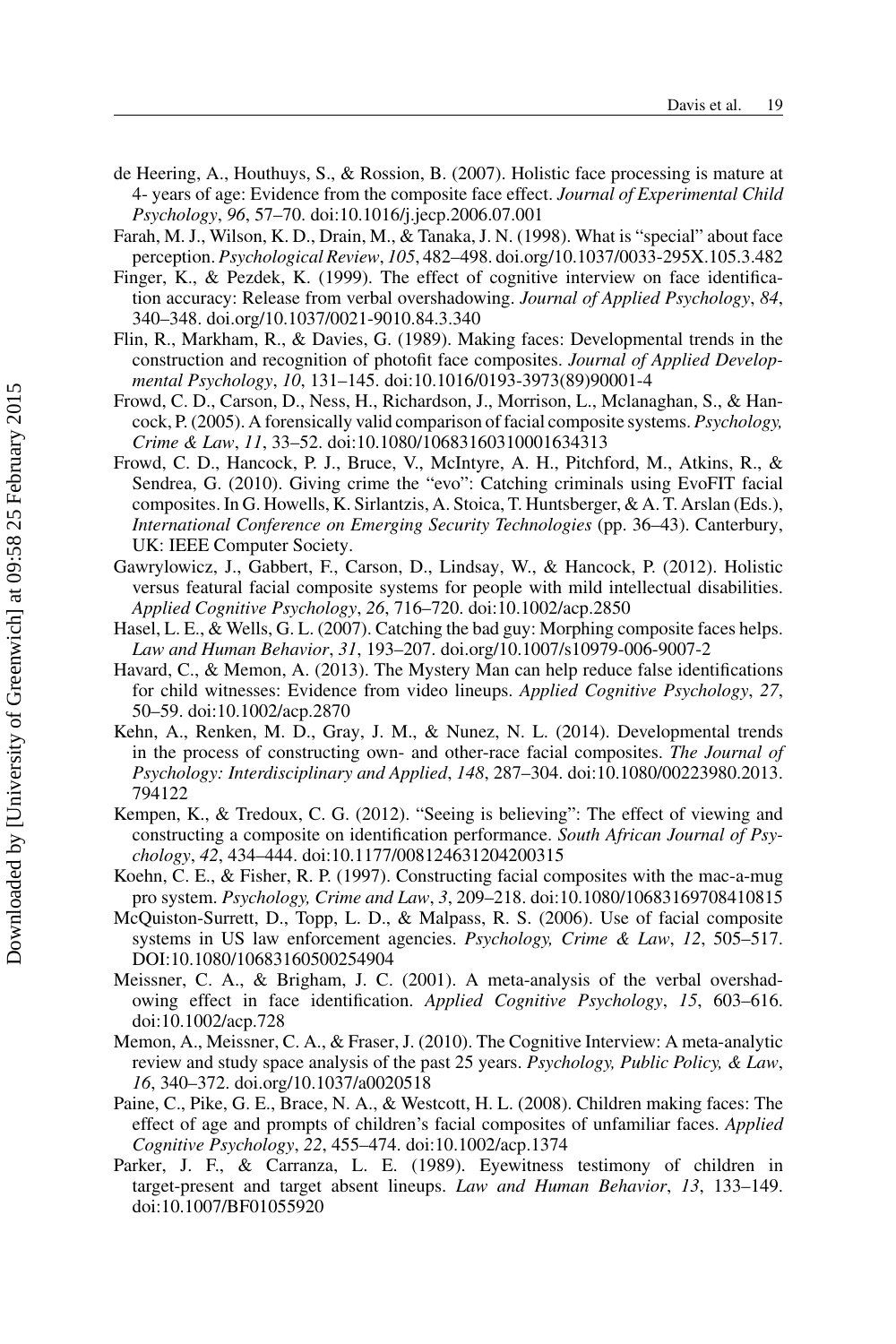- de Heering, A., Houthuys, S., & Rossion, B. (2007). Holistic face processing is mature at 4- years of age: Evidence from the composite face effect. *Journal of Experimental Child Psychology*, *96*, 57–70. doi:10.1016/j.jecp.2006.07.001
- Farah, M. J., Wilson, K. D., Drain, M., & Tanaka, J. N. (1998). What is "special" about face perception. *Psychological Review*, *105*, 482–498. doi.org/10.1037/0033-295X.105.3.482
- Finger, K., & Pezdek, K. (1999). The effect of cognitive interview on face identification accuracy: Release from verbal overshadowing. *Journal of Applied Psychology*, *84*, 340–348. doi.org/10.1037/0021-9010.84.3.340
- Flin, R., Markham, R., & Davies, G. (1989). Making faces: Developmental trends in the construction and recognition of photofit face composites. *Journal of Applied Developmental Psychology*, *10*, 131–145. doi:10.1016/0193-3973(89)90001-4
- Frowd, C. D., Carson, D., Ness, H., Richardson, J., Morrison, L., Mclanaghan, S., & Hancock, P. (2005). A forensically valid comparison of facial composite systems. *Psychology, Crime & Law*, *11*, 33–52. doi:10.1080/10683160310001634313
- Frowd, C. D., Hancock, P. J., Bruce, V., McIntyre, A. H., Pitchford, M., Atkins, R., & Sendrea, G. (2010). Giving crime the "evo": Catching criminals using EvoFIT facial composites. In G. Howells, K. Sirlantzis, A. Stoica, T. Huntsberger, & A. T. Arslan (Eds.), *International Conference on Emerging Security Technologies* (pp. 36–43). Canterbury, UK: IEEE Computer Society.
- Gawrylowicz, J., Gabbert, F., Carson, D., Lindsay, W., & Hancock, P. (2012). Holistic versus featural facial composite systems for people with mild intellectual disabilities. *Applied Cognitive Psychology*, *26*, 716–720. doi:10.1002/acp.2850
- Hasel, L. E., & Wells, G. L. (2007). Catching the bad guy: Morphing composite faces helps. *Law and Human Behavior*, *31*, 193–207. doi.org/10.1007/s10979-006-9007-2
- Havard, C., & Memon, A. (2013). The Mystery Man can help reduce false identifications for child witnesses: Evidence from video lineups. *Applied Cognitive Psychology*, *27*, 50–59. doi:10.1002/acp.2870
- Kehn, A., Renken, M. D., Gray, J. M., & Nunez, N. L. (2014). Developmental trends in the process of constructing own- and other-race facial composites. *The Journal of Psychology: Interdisciplinary and Applied*, *148*, 287–304. doi:10.1080/00223980.2013. 794122
- Kempen, K., & Tredoux, C. G. (2012). "Seeing is believing": The effect of viewing and constructing a composite on identification performance. *South African Journal of Psychology*, *42*, 434–444. doi:10.1177/008124631204200315
- Koehn, C. E., & Fisher, R. P. (1997). Constructing facial composites with the mac-a-mug pro system. *Psychology, Crime and Law*, *3*, 209–218. doi:10.1080/10683169708410815
- McQuiston-Surrett, D., Topp, L. D., & Malpass, R. S. (2006). Use of facial composite systems in US law enforcement agencies. *Psychology, Crime & Law*, *12*, 505–517. DOI:10.1080/10683160500254904
- Meissner, C. A., & Brigham, J. C. (2001). A meta-analysis of the verbal overshadowing effect in face identification. *Applied Cognitive Psychology*, *15*, 603–616. doi:10.1002/acp.728
- Memon, A., Meissner, C. A., & Fraser, J. (2010). The Cognitive Interview: A meta-analytic review and study space analysis of the past 25 years. *Psychology, Public Policy, & Law*, *16*, 340–372. doi.org/10.1037/a0020518
- Paine, C., Pike, G. E., Brace, N. A., & Westcott, H. L. (2008). Children making faces: The effect of age and prompts of children's facial composites of unfamiliar faces. *Applied Cognitive Psychology*, *22*, 455–474. doi:10.1002/acp.1374
- Parker, J. F., & Carranza, L. E. (1989). Eyewitness testimony of children in target-present and target absent lineups. *Law and Human Behavior*, *13*, 133–149. doi:10.1007/BF01055920